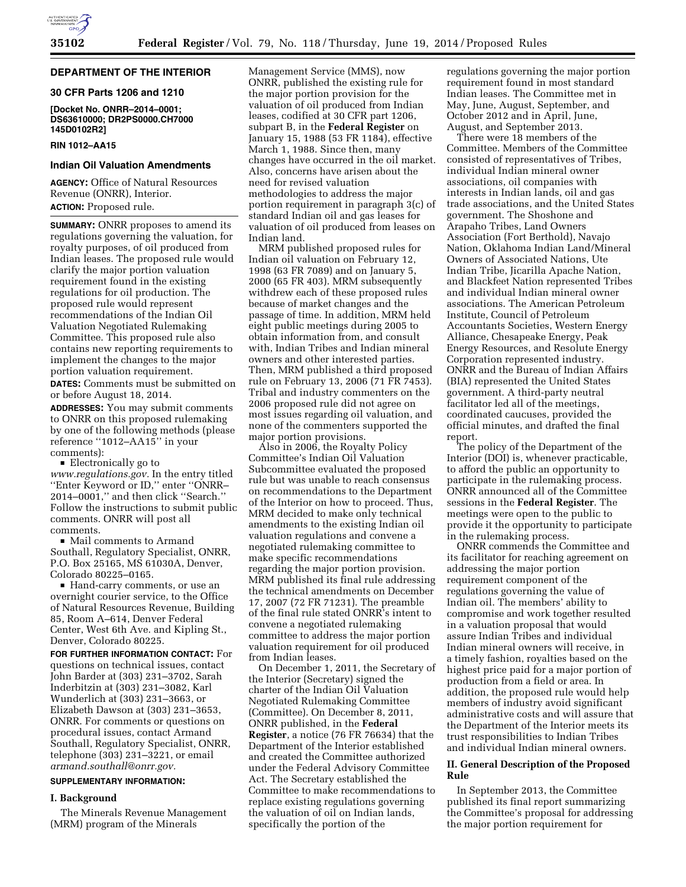

# **DEPARTMENT OF THE INTERIOR**

# **30 CFR Parts 1206 and 1210**

**[Docket No. ONRR–2014–0001; DS63610000; DR2PS0000.CH7000 145D0102R2]** 

#### **RIN 1012–AA15**

#### **Indian Oil Valuation Amendments**

**AGENCY:** Office of Natural Resources Revenue (ONRR), Interior. **ACTION:** Proposed rule.

**SUMMARY:** ONRR proposes to amend its regulations governing the valuation, for royalty purposes, of oil produced from Indian leases. The proposed rule would clarify the major portion valuation requirement found in the existing regulations for oil production. The proposed rule would represent recommendations of the Indian Oil Valuation Negotiated Rulemaking Committee. This proposed rule also contains new reporting requirements to implement the changes to the major portion valuation requirement.

**DATES:** Comments must be submitted on or before August 18, 2014.

**ADDRESSES:** You may submit comments to ONRR on this proposed rulemaking by one of the following methods (please reference ''1012–AA15'' in your comments):

 $\blacksquare$  Electronically go to *[www.regulations.gov.](http://www.regulations.gov)* In the entry titled ''Enter Keyword or ID,'' enter ''ONRR– 2014–0001,'' and then click ''Search.'' Follow the instructions to submit public comments. ONRR will post all comments.

 $\blacksquare$  Mail comments to Armand Southall, Regulatory Specialist, ONRR, P.O. Box 25165, MS 61030A, Denver, Colorado 80225–0165.

■ Hand-carry comments, or use an overnight courier service, to the Office of Natural Resources Revenue, Building 85, Room A–614, Denver Federal Center, West 6th Ave. and Kipling St., Denver, Colorado 80225.

**FOR FURTHER INFORMATION CONTACT:** For questions on technical issues, contact John Barder at (303) 231–3702, Sarah Inderbitzin at (303) 231–3082, Karl Wunderlich at (303) 231–3663, or Elizabeth Dawson at (303) 231–3653, ONRR. For comments or questions on procedural issues, contact Armand Southall, Regulatory Specialist, ONRR, telephone (303) 231–3221, or email *[armand.southall@onrr.gov.](mailto:armand.southall@onrr.gov)* 

# **SUPPLEMENTARY INFORMATION:**

#### **I. Background**

The Minerals Revenue Management (MRM) program of the Minerals

Management Service (MMS), now ONRR, published the existing rule for the major portion provision for the valuation of oil produced from Indian leases, codified at 30 CFR part 1206, subpart B, in the **Federal Register** on January 15, 1988 (53 FR 1184), effective March 1, 1988. Since then, many changes have occurred in the oil market. Also, concerns have arisen about the need for revised valuation methodologies to address the major portion requirement in paragraph 3(c) of standard Indian oil and gas leases for valuation of oil produced from leases on Indian land.

MRM published proposed rules for Indian oil valuation on February 12, 1998 (63 FR 7089) and on January 5, 2000 (65 FR 403). MRM subsequently withdrew each of these proposed rules because of market changes and the passage of time. In addition, MRM held eight public meetings during 2005 to obtain information from, and consult with, Indian Tribes and Indian mineral owners and other interested parties. Then, MRM published a third proposed rule on February 13, 2006 (71 FR 7453). Tribal and industry commenters on the 2006 proposed rule did not agree on most issues regarding oil valuation, and none of the commenters supported the major portion provisions.

Also in 2006, the Royalty Policy Committee's Indian Oil Valuation Subcommittee evaluated the proposed rule but was unable to reach consensus on recommendations to the Department of the Interior on how to proceed. Thus, MRM decided to make only technical amendments to the existing Indian oil valuation regulations and convene a negotiated rulemaking committee to make specific recommendations regarding the major portion provision. MRM published its final rule addressing the technical amendments on December 17, 2007 (72 FR 71231). The preamble of the final rule stated ONRR's intent to convene a negotiated rulemaking committee to address the major portion valuation requirement for oil produced from Indian leases.

On December 1, 2011, the Secretary of the Interior (Secretary) signed the charter of the Indian Oil Valuation Negotiated Rulemaking Committee (Committee). On December 8, 2011, ONRR published, in the **Federal Register**, a notice (76 FR 76634) that the Department of the Interior established and created the Committee authorized under the Federal Advisory Committee Act. The Secretary established the Committee to make recommendations to replace existing regulations governing the valuation of oil on Indian lands, specifically the portion of the

regulations governing the major portion requirement found in most standard Indian leases. The Committee met in May, June, August, September, and October 2012 and in April, June, August, and September 2013.

There were 18 members of the Committee. Members of the Committee consisted of representatives of Tribes, individual Indian mineral owner associations, oil companies with interests in Indian lands, oil and gas trade associations, and the United States government. The Shoshone and Arapaho Tribes, Land Owners Association (Fort Berthold), Navajo Nation, Oklahoma Indian Land/Mineral Owners of Associated Nations, Ute Indian Tribe, Jicarilla Apache Nation, and Blackfeet Nation represented Tribes and individual Indian mineral owner associations. The American Petroleum Institute, Council of Petroleum Accountants Societies, Western Energy Alliance, Chesapeake Energy, Peak Energy Resources, and Resolute Energy Corporation represented industry. ONRR and the Bureau of Indian Affairs (BIA) represented the United States government. A third-party neutral facilitator led all of the meetings, coordinated caucuses, provided the official minutes, and drafted the final report.

The policy of the Department of the Interior (DOI) is, whenever practicable, to afford the public an opportunity to participate in the rulemaking process. ONRR announced all of the Committee sessions in the **Federal Register**. The meetings were open to the public to provide it the opportunity to participate in the rulemaking process.

ONRR commends the Committee and its facilitator for reaching agreement on addressing the major portion requirement component of the regulations governing the value of Indian oil. The members' ability to compromise and work together resulted in a valuation proposal that would assure Indian Tribes and individual Indian mineral owners will receive, in a timely fashion, royalties based on the highest price paid for a major portion of production from a field or area. In addition, the proposed rule would help members of industry avoid significant administrative costs and will assure that the Department of the Interior meets its trust responsibilities to Indian Tribes and individual Indian mineral owners.

# **II. General Description of the Proposed Rule**

In September 2013, the Committee published its final report summarizing the Committee's proposal for addressing the major portion requirement for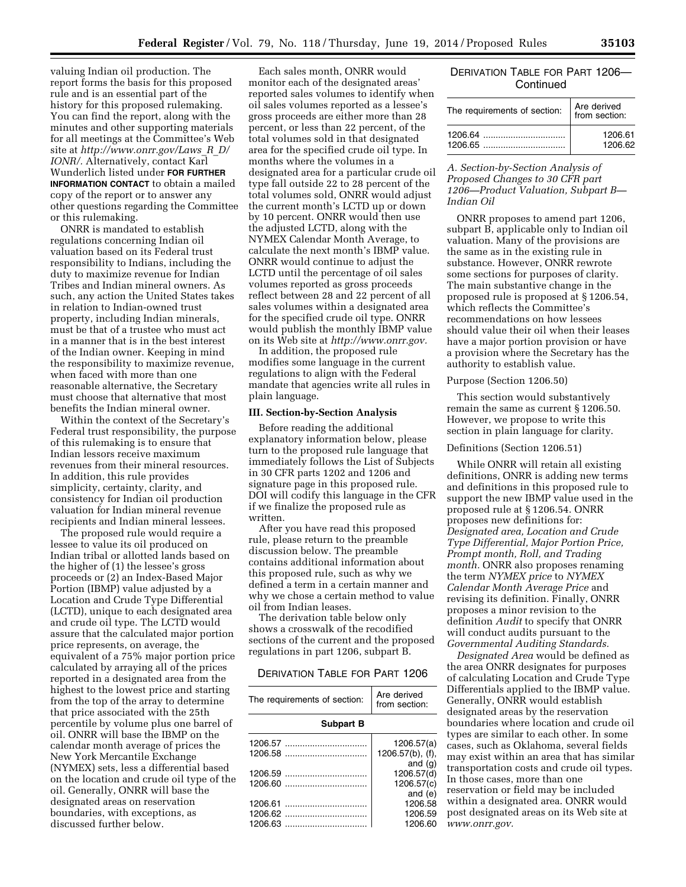valuing Indian oil production. The report forms the basis for this proposed rule and is an essential part of the history for this proposed rulemaking. You can find the report, along with the minutes and other supporting materials for all meetings at the Committee's Web site at *[http://www.onrr.gov/Laws](http://www.onrr.gov/Laws_R_D/IONR/)*\_*R*\_*D/ [IONR/.](http://www.onrr.gov/Laws_R_D/IONR/)* Alternatively, contact Karl Wunderlich listed under **FOR FURTHER INFORMATION CONTACT** to obtain a mailed copy of the report or to answer any other questions regarding the Committee or this rulemaking.

ONRR is mandated to establish regulations concerning Indian oil valuation based on its Federal trust responsibility to Indians, including the duty to maximize revenue for Indian Tribes and Indian mineral owners. As such, any action the United States takes in relation to Indian-owned trust property, including Indian minerals, must be that of a trustee who must act in a manner that is in the best interest of the Indian owner. Keeping in mind the responsibility to maximize revenue, when faced with more than one reasonable alternative, the Secretary must choose that alternative that most benefits the Indian mineral owner.

Within the context of the Secretary's Federal trust responsibility, the purpose of this rulemaking is to ensure that Indian lessors receive maximum revenues from their mineral resources. In addition, this rule provides simplicity, certainty, clarity, and consistency for Indian oil production valuation for Indian mineral revenue recipients and Indian mineral lessees.

The proposed rule would require a lessee to value its oil produced on Indian tribal or allotted lands based on the higher of (1) the lessee's gross proceeds or (2) an Index-Based Major Portion (IBMP) value adjusted by a Location and Crude Type Differential (LCTD), unique to each designated area and crude oil type. The LCTD would assure that the calculated major portion price represents, on average, the equivalent of a 75% major portion price calculated by arraying all of the prices reported in a designated area from the highest to the lowest price and starting from the top of the array to determine that price associated with the 25th percentile by volume plus one barrel of oil. ONRR will base the IBMP on the calendar month average of prices the New York Mercantile Exchange (NYMEX) sets, less a differential based on the location and crude oil type of the oil. Generally, ONRR will base the designated areas on reservation boundaries, with exceptions, as discussed further below.

Each sales month, ONRR would monitor each of the designated areas' reported sales volumes to identify when oil sales volumes reported as a lessee's gross proceeds are either more than 28 percent, or less than 22 percent, of the total volumes sold in that designated area for the specified crude oil type. In months where the volumes in a designated area for a particular crude oil type fall outside 22 to 28 percent of the total volumes sold, ONRR would adjust the current month's LCTD up or down by 10 percent. ONRR would then use the adjusted LCTD, along with the NYMEX Calendar Month Average, to calculate the next month's IBMP value. ONRR would continue to adjust the LCTD until the percentage of oil sales volumes reported as gross proceeds reflect between 28 and 22 percent of all sales volumes within a designated area for the specified crude oil type. ONRR would publish the monthly IBMP value on its Web site at *[http://www.onrr.gov.](http://www.onrr.gov)* 

In addition, the proposed rule modifies some language in the current regulations to align with the Federal mandate that agencies write all rules in plain language.

#### **III. Section-by-Section Analysis**

Before reading the additional explanatory information below, please turn to the proposed rule language that immediately follows the List of Subjects in 30 CFR parts 1202 and 1206 and signature page in this proposed rule. DOI will codify this language in the CFR if we finalize the proposed rule as written.

After you have read this proposed rule, please return to the preamble discussion below. The preamble contains additional information about this proposed rule, such as why we defined a term in a certain manner and why we chose a certain method to value oil from Indian leases.

The derivation table below only shows a crosswalk of the recodified sections of the current and the proposed regulations in part 1206, subpart B.

# DERIVATION TABLE FOR PART 1206

| The requirements of section: | Are derived<br>from section: |
|------------------------------|------------------------------|
| <b>Subpart B</b>             |                              |
| 1206.57                      | 1206.57(a)                   |
|                              | $1206.57(b)$ , (f),          |
|                              | and $(g)$                    |
|                              | 1206.57(d)                   |
|                              | 1206.57(c)                   |
|                              | and $(e)$                    |
|                              | 1206.58                      |
|                              | 1206.59                      |
| 1206.63                      | 1206.60                      |

# DERIVATION TABLE FOR PART 1206— **Continued**

| The requirements of section: | Are derived<br>from section: |
|------------------------------|------------------------------|
|                              | 1206.61                      |
|                              | 1206.62                      |

# *A. Section-by-Section Analysis of Proposed Changes to 30 CFR part 1206—Product Valuation, Subpart B— Indian Oil*

ONRR proposes to amend part 1206, subpart B, applicable only to Indian oil valuation. Many of the provisions are the same as in the existing rule in substance. However, ONRR rewrote some sections for purposes of clarity. The main substantive change in the proposed rule is proposed at § 1206.54, which reflects the Committee's recommendations on how lessees should value their oil when their leases have a major portion provision or have a provision where the Secretary has the authority to establish value.

# Purpose (Section 1206.50)

This section would substantively remain the same as current § 1206.50. However, we propose to write this section in plain language for clarity.

# Definitions (Section 1206.51)

While ONRR will retain all existing definitions, ONRR is adding new terms and definitions in this proposed rule to support the new IBMP value used in the proposed rule at § 1206.54. ONRR proposes new definitions for: *Designated area, Location and Crude Type Differential, Major Portion Price, Prompt month, Roll, and Trading month.* ONRR also proposes renaming the term *NYMEX price* to *NYMEX Calendar Month Average Price* and revising its definition. Finally, ONRR proposes a minor revision to the definition *Audit* to specify that ONRR will conduct audits pursuant to the *Governmental Auditing Standards.* 

*Designated Area* would be defined as the area ONRR designates for purposes of calculating Location and Crude Type Differentials applied to the IBMP value. Generally, ONRR would establish designated areas by the reservation boundaries where location and crude oil types are similar to each other. In some cases, such as Oklahoma, several fields may exist within an area that has similar transportation costs and crude oil types. In those cases, more than one reservation or field may be included within a designated area. ONRR would post designated areas on its Web site at *[www.onrr.gov.](http://www.onrr.gov)*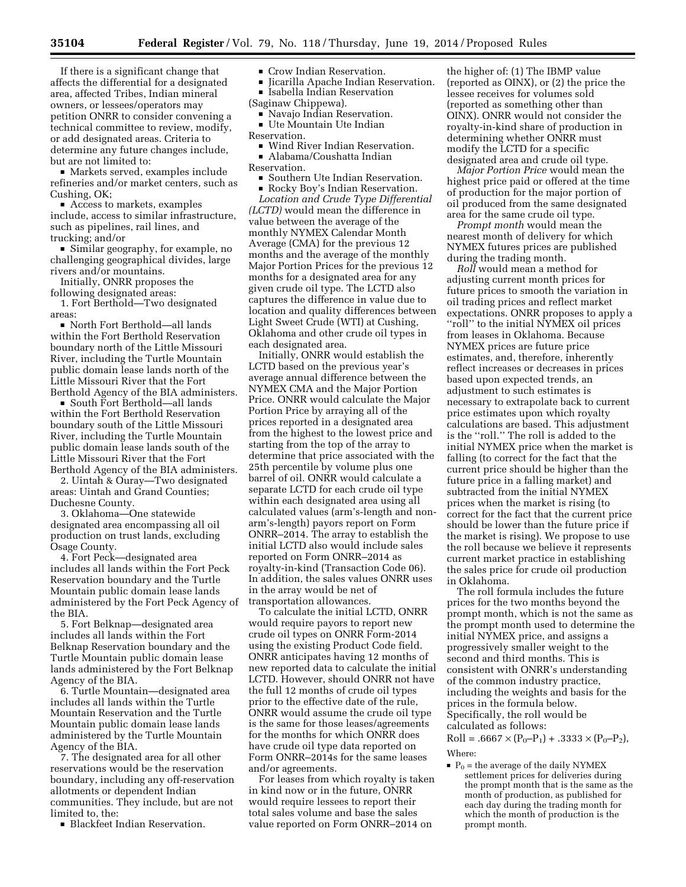If there is a significant change that affects the differential for a designated area, affected Tribes, Indian mineral

owners, or lessees/operators may petition ONRR to consider convening a technical committee to review, modify, or add designated areas. Criteria to determine any future changes include, but are not limited to:

■ Markets served, examples include refineries and/or market centers, such as Cushing, OK;

■ Access to markets, examples include, access to similar infrastructure, such as pipelines, rail lines, and trucking; and/or

■ Similar geography, for example, no challenging geographical divides, large rivers and/or mountains.

Initially, ONRR proposes the following designated areas:

1. Fort Berthold—Two designated areas:

■ North Fort Berthold—all lands within the Fort Berthold Reservation boundary north of the Little Missouri River, including the Turtle Mountain public domain lease lands north of the Little Missouri River that the Fort Berthold Agency of the BIA administers.

■ South Fort Berthold—all lands within the Fort Berthold Reservation boundary south of the Little Missouri River, including the Turtle Mountain public domain lease lands south of the Little Missouri River that the Fort Berthold Agency of the BIA administers.

2. Uintah & Ouray—Two designated areas: Uintah and Grand Counties; Duchesne County.

3. Oklahoma—One statewide designated area encompassing all oil production on trust lands, excluding Osage County.

4. Fort Peck—designated area includes all lands within the Fort Peck Reservation boundary and the Turtle Mountain public domain lease lands administered by the Fort Peck Agency of the BIA.

5. Fort Belknap—designated area includes all lands within the Fort Belknap Reservation boundary and the Turtle Mountain public domain lease lands administered by the Fort Belknap Agency of the BIA.

6. Turtle Mountain—designated area includes all lands within the Turtle Mountain Reservation and the Turtle Mountain public domain lease lands administered by the Turtle Mountain Agency of the BIA.

7. The designated area for all other reservations would be the reservation boundary, including any off-reservation allotments or dependent Indian communities. They include, but are not limited to, the:

**Blackfeet Indian Reservation.** 

# • Crow Indian Reservation.<br>• Iicarilla Apache Indian Re

■ Jicarilla Apache Indian Reservation.<br>■ Isabella Indian Reservation **Example Indian Reservation** 

(Saginaw Chippewa).

- Navajo Indian Reservation.
- Ute Mountain Ute Indian

Reservation.

- Wind River Indian Reservation.
- Alabama/Coushatta Indian
- Reservation.<br>■ Southern Ute Indian Reservation. ■ Southern Ute Indian Reservation.<br>■ Rocky Bov's Indian Reservation.

 $\blacksquare$  Rocky Boy's Indian Reservation.<br>Location and Crude Type Different *Location and Crude Type Differential (LCTD)* would mean the difference in value between the average of the monthly NYMEX Calendar Month Average (CMA) for the previous 12 months and the average of the monthly Major Portion Prices for the previous 12 months for a designated area for any given crude oil type. The LCTD also captures the difference in value due to location and quality differences between Light Sweet Crude (WTI) at Cushing, Oklahoma and other crude oil types in each designated area.

Initially, ONRR would establish the LCTD based on the previous year's average annual difference between the NYMEX CMA and the Major Portion Price. ONRR would calculate the Major Portion Price by arraying all of the prices reported in a designated area from the highest to the lowest price and starting from the top of the array to determine that price associated with the 25th percentile by volume plus one barrel of oil. ONRR would calculate a separate LCTD for each crude oil type within each designated area using all calculated values (arm's-length and nonarm's-length) payors report on Form ONRR–2014. The array to establish the initial LCTD also would include sales reported on Form ONRR–2014 as royalty-in-kind (Transaction Code 06). In addition, the sales values ONRR uses in the array would be net of transportation allowances.

To calculate the initial LCTD, ONRR would require payors to report new crude oil types on ONRR Form-2014 using the existing Product Code field. ONRR anticipates having 12 months of new reported data to calculate the initial LCTD. However, should ONRR not have the full 12 months of crude oil types prior to the effective date of the rule, ONRR would assume the crude oil type is the same for those leases/agreements for the months for which ONRR does have crude oil type data reported on Form ONRR–2014s for the same leases and/or agreements.

For leases from which royalty is taken in kind now or in the future, ONRR would require lessees to report their total sales volume and base the sales value reported on Form ONRR–2014 on

the higher of: (1) The IBMP value (reported as OINX), or (2) the price the lessee receives for volumes sold (reported as something other than OINX). ONRR would not consider the royalty-in-kind share of production in determining whether ONRR must modify the LCTD for a specific designated area and crude oil type.

*Major Portion Price* would mean the highest price paid or offered at the time of production for the major portion of oil produced from the same designated area for the same crude oil type.

*Prompt month* would mean the nearest month of delivery for which NYMEX futures prices are published during the trading month.

*Roll* would mean a method for adjusting current month prices for future prices to smooth the variation in oil trading prices and reflect market expectations. ONRR proposes to apply a ''roll'' to the initial NYMEX oil prices from leases in Oklahoma. Because NYMEX prices are future price estimates, and, therefore, inherently reflect increases or decreases in prices based upon expected trends, an adjustment to such estimates is necessary to extrapolate back to current price estimates upon which royalty calculations are based. This adjustment is the ''roll.'' The roll is added to the initial NYMEX price when the market is falling (to correct for the fact that the current price should be higher than the future price in a falling market) and subtracted from the initial NYMEX prices when the market is rising (to correct for the fact that the current price should be lower than the future price if the market is rising). We propose to use the roll because we believe it represents current market practice in establishing the sales price for crude oil production in Oklahoma.

The roll formula includes the future prices for the two months beyond the prompt month, which is not the same as the prompt month used to determine the initial NYMEX price, and assigns a progressively smaller weight to the second and third months. This is consistent with ONRR's understanding of the common industry practice, including the weights and basis for the prices in the formula below. Specifically, the roll would be calculated as follows:

 $Roll = .6667 \times (P_0 - P_1) + .3333 \times (P_0 - P_2),$ Where:

 $\blacksquare$  P<sub>0</sub> = the average of the daily NYMEX settlement prices for deliveries during the prompt month that is the same as the month of production, as published for each day during the trading month for which the month of production is the prompt month.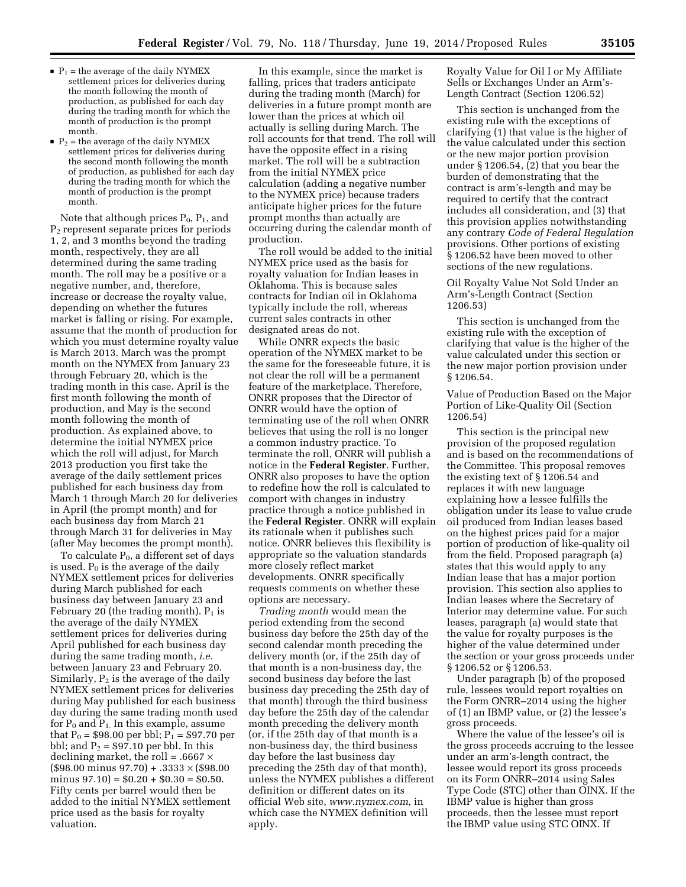- $\blacksquare$  P<sub>1</sub> = the average of the daily NYMEX settlement prices for deliveries during the month following the month of production, as published for each day during the trading month for which the month of production is the prompt month.
- $\blacksquare$  P<sub>2</sub> = the average of the daily NYMEX settlement prices for deliveries during the second month following the month of production, as published for each day during the trading month for which the month of production is the prompt month.

Note that although prices  $P_0$ ,  $P_1$ , and P2 represent separate prices for periods 1, 2, and 3 months beyond the trading month, respectively, they are all determined during the same trading month. The roll may be a positive or a negative number, and, therefore, increase or decrease the royalty value, depending on whether the futures market is falling or rising. For example, assume that the month of production for which you must determine royalty value is March 2013. March was the prompt month on the NYMEX from January 23 through February 20, which is the trading month in this case. April is the first month following the month of production, and May is the second month following the month of production. As explained above, to determine the initial NYMEX price which the roll will adjust, for March 2013 production you first take the average of the daily settlement prices published for each business day from March 1 through March 20 for deliveries in April (the prompt month) and for each business day from March 21 through March 31 for deliveries in May (after May becomes the prompt month).

To calculate  $P_0$ , a different set of days is used.  $P_0$  is the average of the daily NYMEX settlement prices for deliveries during March published for each business day between January 23 and February 20 (the trading month).  $P_1$  is the average of the daily NYMEX settlement prices for deliveries during April published for each business day during the same trading month, *i.e.*  between January 23 and February 20. Similarly,  $P_2$  is the average of the daily NYMEX settlement prices for deliveries during May published for each business day during the same trading month used for  $P_0$  and  $P_1$ . In this example, assume that  $P_0 = $98.00$  per bbl;  $P_1 = $97.70$  per bbl; and  $P_2 = $97.10$  per bbl. In this declining market, the roll =  $.6667 \times$  $($98.00 \text{ minus } 97.70) + .3333 \times ($98.00)$ minus  $97.10$  = \$0.20 + \$0.30 = \$0.50. Fifty cents per barrel would then be added to the initial NYMEX settlement price used as the basis for royalty valuation.

In this example, since the market is falling, prices that traders anticipate during the trading month (March) for deliveries in a future prompt month are lower than the prices at which oil actually is selling during March. The roll accounts for that trend. The roll will have the opposite effect in a rising market. The roll will be a subtraction from the initial NYMEX price calculation (adding a negative number to the NYMEX price) because traders anticipate higher prices for the future prompt months than actually are occurring during the calendar month of production.

The roll would be added to the initial NYMEX price used as the basis for royalty valuation for Indian leases in Oklahoma. This is because sales contracts for Indian oil in Oklahoma typically include the roll, whereas current sales contracts in other designated areas do not.

While ONRR expects the basic operation of the NYMEX market to be the same for the foreseeable future, it is not clear the roll will be a permanent feature of the marketplace. Therefore, ONRR proposes that the Director of ONRR would have the option of terminating use of the roll when ONRR believes that using the roll is no longer a common industry practice. To terminate the roll, ONRR will publish a notice in the **Federal Register**. Further, ONRR also proposes to have the option to redefine how the roll is calculated to comport with changes in industry practice through a notice published in the **Federal Register**. ONRR will explain its rationale when it publishes such notice. ONRR believes this flexibility is appropriate so the valuation standards more closely reflect market developments. ONRR specifically requests comments on whether these options are necessary.

*Trading month* would mean the period extending from the second business day before the 25th day of the second calendar month preceding the delivery month (or, if the 25th day of that month is a non-business day, the second business day before the last business day preceding the 25th day of that month) through the third business day before the 25th day of the calendar month preceding the delivery month (or, if the 25th day of that month is a non-business day, the third business day before the last business day preceding the 25th day of that month), unless the NYMEX publishes a different definition or different dates on its official Web site, *[www.nymex.com,](http://www.nymex.com)* in which case the NYMEX definition will apply.

Royalty Value for Oil I or My Affiliate Sells or Exchanges Under an Arm's-Length Contract (Section 1206.52)

This section is unchanged from the existing rule with the exceptions of clarifying (1) that value is the higher of the value calculated under this section or the new major portion provision under § 1206.54, (2) that you bear the burden of demonstrating that the contract is arm's-length and may be required to certify that the contract includes all consideration, and (3) that this provision applies notwithstanding any contrary *Code of Federal Regulation*  provisions. Other portions of existing § 1206.52 have been moved to other sections of the new regulations.

Oil Royalty Value Not Sold Under an Arm's-Length Contract (Section 1206.53)

This section is unchanged from the existing rule with the exception of clarifying that value is the higher of the value calculated under this section or the new major portion provision under § 1206.54.

Value of Production Based on the Major Portion of Like-Quality Oil (Section 1206.54)

This section is the principal new provision of the proposed regulation and is based on the recommendations of the Committee. This proposal removes the existing text of § 1206.54 and replaces it with new language explaining how a lessee fulfills the obligation under its lease to value crude oil produced from Indian leases based on the highest prices paid for a major portion of production of like-quality oil from the field. Proposed paragraph (a) states that this would apply to any Indian lease that has a major portion provision. This section also applies to Indian leases where the Secretary of Interior may determine value. For such leases, paragraph (a) would state that the value for royalty purposes is the higher of the value determined under the section or your gross proceeds under § 1206.52 or § 1206.53.

Under paragraph (b) of the proposed rule, lessees would report royalties on the Form ONRR–2014 using the higher of (1) an IBMP value, or (2) the lessee's gross proceeds.

Where the value of the lessee's oil is the gross proceeds accruing to the lessee under an arm's-length contract, the lessee would report its gross proceeds on its Form ONRR–2014 using Sales Type Code (STC) other than OINX. If the IBMP value is higher than gross proceeds, then the lessee must report the IBMP value using STC OINX. If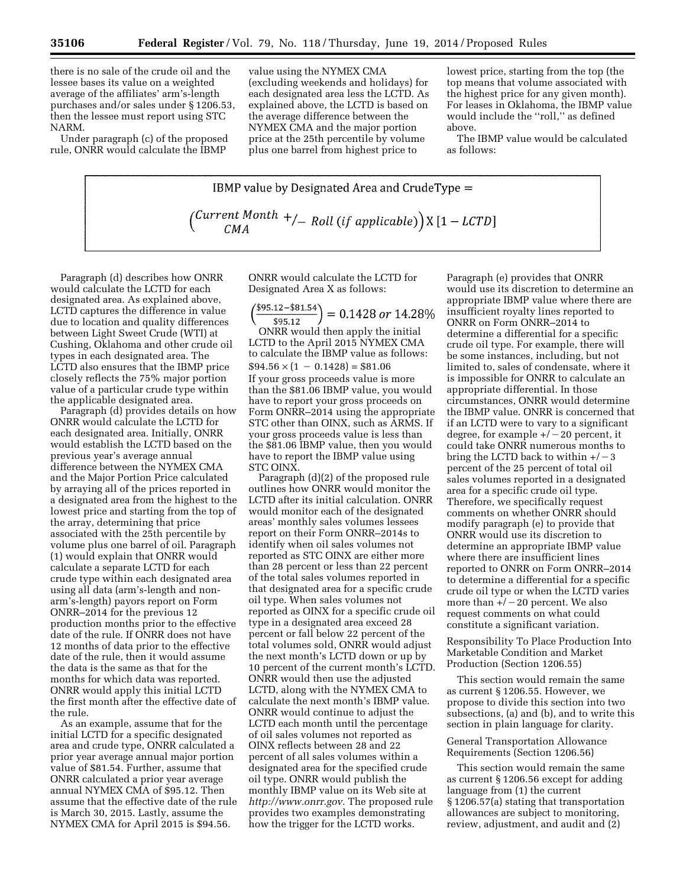there is no sale of the crude oil and the lessee bases its value on a weighted average of the affiliates' arm's-length purchases and/or sales under § 1206.53, then the lessee must report using STC NARM.

Under paragraph (c) of the proposed rule, ONRR would calculate the IBMP

value using the NYMEX CMA (excluding weekends and holidays) for each designated area less the LCTD. As explained above, the LCTD is based on the average difference between the NYMEX CMA and the major portion price at the 25th percentile by volume plus one barrel from highest price to

lowest price, starting from the top (the top means that volume associated with the highest price for any given month). For leases in Oklahoma, the IBMP value would include the ''roll,'' as defined above.

The IBMP value would be calculated as follows:

**IBMP value by Designated Area and CrudeType =**\n
$$
\left(\frac{Current\;Month}{CMA} + / \right) = \text{Roll} \left(\text{if applicable}\right) \times \left[1 - \text{LCTD}\right]
$$

Paragraph (d) describes how ONRR would calculate the LCTD for each designated area. As explained above, LCTD captures the difference in value due to location and quality differences between Light Sweet Crude (WTI) at Cushing, Oklahoma and other crude oil types in each designated area. The LCTD also ensures that the IBMP price closely reflects the 75% major portion value of a particular crude type within the applicable designated area.

Paragraph (d) provides details on how ONRR would calculate the LCTD for each designated area. Initially, ONRR would establish the LCTD based on the previous year's average annual difference between the NYMEX CMA and the Major Portion Price calculated by arraying all of the prices reported in a designated area from the highest to the lowest price and starting from the top of the array, determining that price associated with the 25th percentile by volume plus one barrel of oil. Paragraph (1) would explain that ONRR would calculate a separate LCTD for each crude type within each designated area using all data (arm's-length and nonarm's-length) payors report on Form ONRR–2014 for the previous 12 production months prior to the effective date of the rule. If ONRR does not have 12 months of data prior to the effective date of the rule, then it would assume the data is the same as that for the months for which data was reported. ONRR would apply this initial LCTD the first month after the effective date of the rule.

As an example, assume that for the initial LCTD for a specific designated area and crude type, ONRR calculated a prior year average annual major portion value of \$81.54. Further, assume that ONRR calculated a prior year average annual NYMEX CMA of \$95.12. Then assume that the effective date of the rule is March 30, 2015. Lastly, assume the NYMEX CMA for April 2015 is \$94.56.

ONRR would calculate the LCTD for Designated Area X as follows:

 $\left(\frac{$95.12 - $81.54}{$95.12}\right) = 0.1428 \text{ or } 14.28\%$ 

ONRR would then apply the initial LCTD to the April 2015 NYMEX CMA to calculate the IBMP value as follows:  $$94.56 \times (1 - 0.1428) = $81.06$ If your gross proceeds value is more than the \$81.06 IBMP value, you would have to report your gross proceeds on Form ONRR–2014 using the appropriate STC other than OINX, such as ARMS. If your gross proceeds value is less than the \$81.06 IBMP value, then you would have to report the IBMP value using STC OINX.

Paragraph (d)(2) of the proposed rule outlines how ONRR would monitor the LCTD after its initial calculation. ONRR would monitor each of the designated areas' monthly sales volumes lessees report on their Form ONRR–2014s to identify when oil sales volumes not reported as STC OINX are either more than 28 percent or less than 22 percent of the total sales volumes reported in that designated area for a specific crude oil type. When sales volumes not reported as OINX for a specific crude oil type in a designated area exceed 28 percent or fall below 22 percent of the total volumes sold, ONRR would adjust the next month's LCTD down or up by 10 percent of the current month's LCTD. ONRR would then use the adjusted LCTD, along with the NYMEX CMA to calculate the next month's IBMP value. ONRR would continue to adjust the LCTD each month until the percentage of oil sales volumes not reported as OINX reflects between 28 and 22 percent of all sales volumes within a designated area for the specified crude oil type. ONRR would publish the monthly IBMP value on its Web site at *[http://www.onrr.gov.](http://www.onrr.gov)* The proposed rule provides two examples demonstrating how the trigger for the LCTD works.

Paragraph (e) provides that ONRR would use its discretion to determine an appropriate IBMP value where there are insufficient royalty lines reported to ONRR on Form ONRR–2014 to determine a differential for a specific crude oil type. For example, there will be some instances, including, but not limited to, sales of condensate, where it is impossible for ONRR to calculate an appropriate differential. In those circumstances, ONRR would determine the IBMP value. ONRR is concerned that if an LCTD were to vary to a significant degree, for example  $+/-20$  percent, it could take ONRR numerous months to bring the LCTD back to within  $+/-3$ percent of the 25 percent of total oil sales volumes reported in a designated area for a specific crude oil type. Therefore, we specifically request comments on whether ONRR should modify paragraph (e) to provide that ONRR would use its discretion to determine an appropriate IBMP value where there are insufficient lines reported to ONRR on Form ONRR–2014 to determine a differential for a specific crude oil type or when the LCTD varies more than  $+/-20$  percent. We also request comments on what could constitute a significant variation.

Responsibility To Place Production Into Marketable Condition and Market Production (Section 1206.55)

This section would remain the same as current § 1206.55. However, we propose to divide this section into two subsections, (a) and (b), and to write this section in plain language for clarity.

# General Transportation Allowance Requirements (Section 1206.56)

This section would remain the same as current § 1206.56 except for adding language from (1) the current § 1206.57(a) stating that transportation allowances are subject to monitoring, review, adjustment, and audit and (2)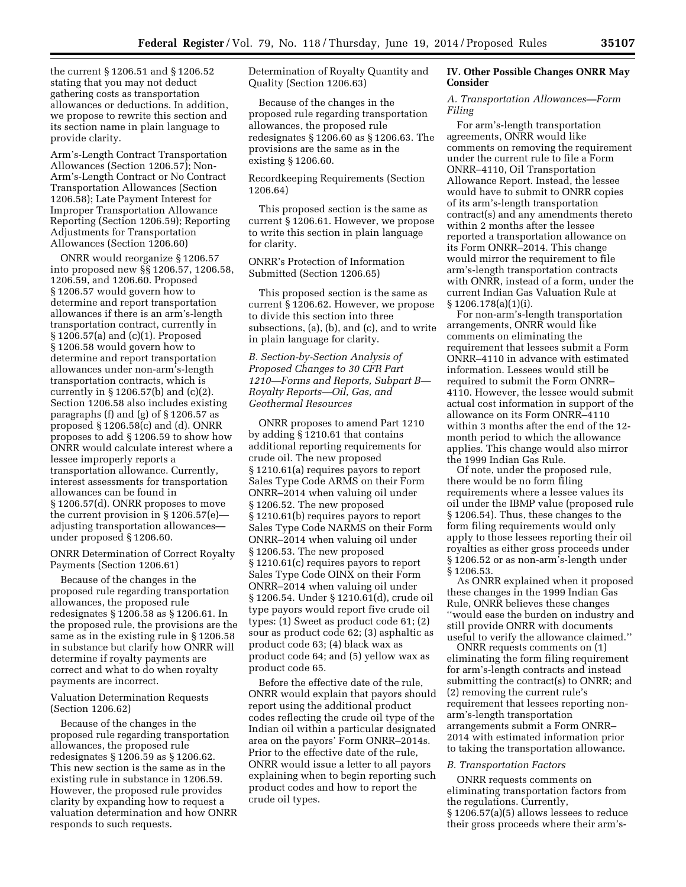the current § 1206.51 and § 1206.52 stating that you may not deduct gathering costs as transportation allowances or deductions. In addition, we propose to rewrite this section and its section name in plain language to provide clarity.

Arm's-Length Contract Transportation Allowances (Section 1206.57); Non-Arm's-Length Contract or No Contract Transportation Allowances (Section 1206.58); Late Payment Interest for Improper Transportation Allowance Reporting (Section 1206.59); Reporting Adjustments for Transportation Allowances (Section 1206.60)

ONRR would reorganize § 1206.57 into proposed new §§ 1206.57, 1206.58, 1206.59, and 1206.60. Proposed § 1206.57 would govern how to determine and report transportation allowances if there is an arm's-length transportation contract, currently in § 1206.57(a) and (c)(1). Proposed § 1206.58 would govern how to determine and report transportation allowances under non-arm's-length transportation contracts, which is currently in § 1206.57(b) and (c)(2). Section 1206.58 also includes existing paragraphs (f) and (g) of § 1206.57 as proposed § 1206.58(c) and (d). ONRR proposes to add § 1206.59 to show how ONRR would calculate interest where a lessee improperly reports a transportation allowance. Currently, interest assessments for transportation allowances can be found in § 1206.57(d). ONRR proposes to move the current provision in § 1206.57(e) adjusting transportation allowances under proposed § 1206.60.

ONRR Determination of Correct Royalty Payments (Section 1206.61)

Because of the changes in the proposed rule regarding transportation allowances, the proposed rule redesignates § 1206.58 as § 1206.61. In the proposed rule, the provisions are the same as in the existing rule in § 1206.58 in substance but clarify how ONRR will determine if royalty payments are correct and what to do when royalty payments are incorrect.

Valuation Determination Requests (Section 1206.62)

Because of the changes in the proposed rule regarding transportation allowances, the proposed rule redesignates § 1206.59 as § 1206.62. This new section is the same as in the existing rule in substance in 1206.59. However, the proposed rule provides clarity by expanding how to request a valuation determination and how ONRR responds to such requests.

Determination of Royalty Quantity and Quality (Section 1206.63)

Because of the changes in the proposed rule regarding transportation allowances, the proposed rule redesignates § 1206.60 as § 1206.63. The provisions are the same as in the existing § 1206.60.

Recordkeeping Requirements (Section 1206.64)

This proposed section is the same as current § 1206.61. However, we propose to write this section in plain language for clarity.

# ONRR's Protection of Information Submitted (Section 1206.65)

This proposed section is the same as current § 1206.62. However, we propose to divide this section into three subsections, (a), (b), and (c), and to write in plain language for clarity.

*B. Section-by-Section Analysis of Proposed Changes to 30 CFR Part 1210—Forms and Reports, Subpart B— Royalty Reports—Oil, Gas, and Geothermal Resources* 

ONRR proposes to amend Part 1210 by adding § 1210.61 that contains additional reporting requirements for crude oil. The new proposed § 1210.61(a) requires payors to report Sales Type Code ARMS on their Form ONRR–2014 when valuing oil under § 1206.52. The new proposed § 1210.61(b) requires payors to report Sales Type Code NARMS on their Form ONRR–2014 when valuing oil under § 1206.53. The new proposed § 1210.61(c) requires payors to report Sales Type Code OINX on their Form ONRR–2014 when valuing oil under § 1206.54. Under § 1210.61(d), crude oil type payors would report five crude oil types: (1) Sweet as product code 61; (2) sour as product code 62; (3) asphaltic as product code 63; (4) black wax as product code 64; and (5) yellow wax as product code 65.

Before the effective date of the rule, ONRR would explain that payors should report using the additional product codes reflecting the crude oil type of the Indian oil within a particular designated area on the payors' Form ONRR–2014s. Prior to the effective date of the rule, ONRR would issue a letter to all payors explaining when to begin reporting such product codes and how to report the crude oil types.

# **IV. Other Possible Changes ONRR May Consider**

# *A. Transportation Allowances—Form Filing*

For arm's-length transportation agreements, ONRR would like comments on removing the requirement under the current rule to file a Form ONRR–4110, Oil Transportation Allowance Report. Instead, the lessee would have to submit to ONRR copies of its arm's-length transportation contract(s) and any amendments thereto within 2 months after the lessee reported a transportation allowance on its Form ONRR–2014. This change would mirror the requirement to file arm's-length transportation contracts with ONRR, instead of a form, under the current Indian Gas Valuation Rule at § 1206.178(a)(1)(i).

For non-arm's-length transportation arrangements, ONRR would like comments on eliminating the requirement that lessees submit a Form ONRR–4110 in advance with estimated information. Lessees would still be required to submit the Form ONRR– 4110. However, the lessee would submit actual cost information in support of the allowance on its Form ONRR–4110 within 3 months after the end of the 12 month period to which the allowance applies. This change would also mirror the 1999 Indian Gas Rule.

Of note, under the proposed rule, there would be no form filing requirements where a lessee values its oil under the IBMP value (proposed rule § 1206.54). Thus, these changes to the form filing requirements would only apply to those lessees reporting their oil royalties as either gross proceeds under § 1206.52 or as non-arm's-length under § 1206.53.

As ONRR explained when it proposed these changes in the 1999 Indian Gas Rule, ONRR believes these changes ''would ease the burden on industry and still provide ONRR with documents useful to verify the allowance claimed.''

ONRR requests comments on (1) eliminating the form filing requirement for arm's-length contracts and instead submitting the contract(s) to ONRR; and (2) removing the current rule's requirement that lessees reporting nonarm's-length transportation arrangements submit a Form ONRR– 2014 with estimated information prior to taking the transportation allowance.

#### *B. Transportation Factors*

ONRR requests comments on eliminating transportation factors from the regulations. Currently, § 1206.57(a)(5) allows lessees to reduce their gross proceeds where their arm's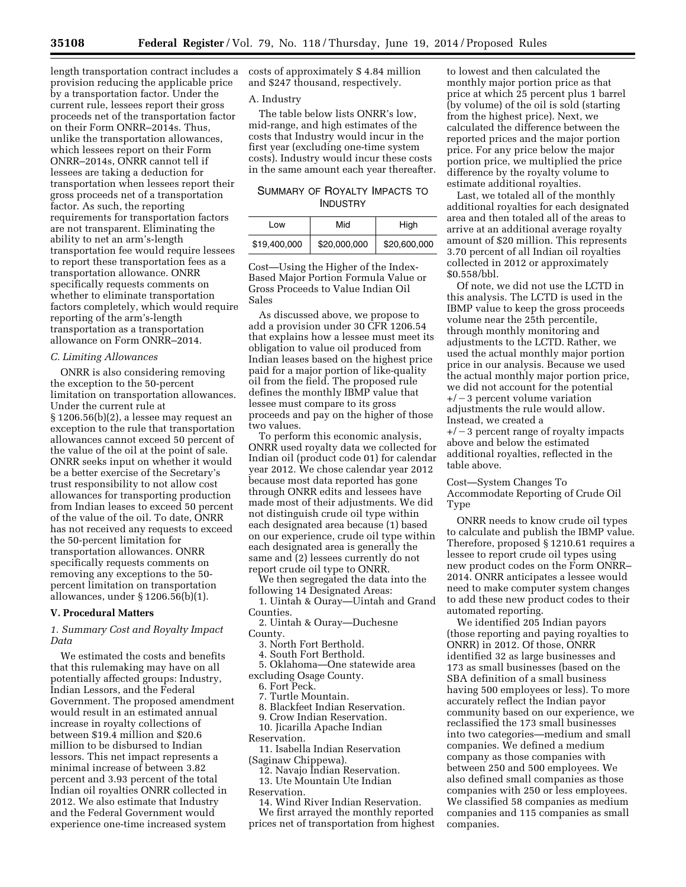provision reducing the applicable price by a transportation factor. Under the current rule, lessees report their gross proceeds net of the transportation factor on their Form ONRR–2014s. Thus, unlike the transportation allowances, which lessees report on their Form ONRR–2014s, ONRR cannot tell if lessees are taking a deduction for transportation when lessees report their gross proceeds net of a transportation factor. As such, the reporting requirements for transportation factors are not transparent. Eliminating the ability to net an arm's-length transportation fee would require lessees to report these transportation fees as a transportation allowance. ONRR specifically requests comments on whether to eliminate transportation factors completely, which would require reporting of the arm's-length transportation as a transportation allowance on Form ONRR–2014.

# *C. Limiting Allowances*

ONRR is also considering removing the exception to the 50-percent limitation on transportation allowances. Under the current rule at § 1206.56(b)(2), a lessee may request an exception to the rule that transportation allowances cannot exceed 50 percent of the value of the oil at the point of sale. ONRR seeks input on whether it would be a better exercise of the Secretary's trust responsibility to not allow cost allowances for transporting production from Indian leases to exceed 50 percent of the value of the oil. To date, ONRR has not received any requests to exceed the 50-percent limitation for transportation allowances. ONRR specifically requests comments on removing any exceptions to the 50 percent limitation on transportation allowances, under § 1206.56(b)(1).

#### **V. Procedural Matters**

# *1. Summary Cost and Royalty Impact Data*

We estimated the costs and benefits that this rulemaking may have on all potentially affected groups: Industry, Indian Lessors, and the Federal Government. The proposed amendment would result in an estimated annual increase in royalty collections of between \$19.4 million and \$20.6 million to be disbursed to Indian lessors. This net impact represents a minimal increase of between 3.82 percent and 3.93 percent of the total Indian oil royalties ONRR collected in 2012. We also estimate that Industry and the Federal Government would experience one-time increased system

length transportation contract includes a costs of approximately \$ 4.84 million and \$247 thousand, respectively.

#### A. Industry

The table below lists ONRR's low, mid-range, and high estimates of the costs that Industry would incur in the first year (excluding one-time system costs). Industry would incur these costs in the same amount each year thereafter.

# SUMMARY OF ROYALTY IMPACTS TO **INDUSTRY**

| l ow         | Mid          | High         |
|--------------|--------------|--------------|
| \$19,400,000 | \$20,000,000 | \$20,600,000 |

Cost—Using the Higher of the Index-Based Major Portion Formula Value or Gross Proceeds to Value Indian Oil Sales

As discussed above, we propose to add a provision under 30 CFR 1206.54 that explains how a lessee must meet its obligation to value oil produced from Indian leases based on the highest price paid for a major portion of like-quality oil from the field. The proposed rule defines the monthly IBMP value that lessee must compare to its gross proceeds and pay on the higher of those two values.

To perform this economic analysis, ONRR used royalty data we collected for Indian oil (product code 01) for calendar year 2012. We chose calendar year 2012 because most data reported has gone through ONRR edits and lessees have made most of their adjustments. We did not distinguish crude oil type within each designated area because (1) based on our experience, crude oil type within each designated area is generally the same and (2) lessees currently do not report crude oil type to ONRR.

We then segregated the data into the following 14 Designated Areas:

1. Uintah & Ouray—Uintah and Grand Counties.

2. Uintah & Ouray—Duchesne County.

3. North Fort Berthold.

4. South Fort Berthold.

5. Oklahoma—One statewide area excluding Osage County.

6. Fort Peck.

7. Turtle Mountain.

8. Blackfeet Indian Reservation.

9. Crow Indian Reservation.

10. Jicarilla Apache Indian

Reservation.

11. Isabella Indian Reservation (Saginaw Chippewa).

12. Navajo Indian Reservation. 13. Ute Mountain Ute Indian

Reservation.

14. Wind River Indian Reservation.

We first arrayed the monthly reported prices net of transportation from highest

to lowest and then calculated the monthly major portion price as that price at which 25 percent plus 1 barrel (by volume) of the oil is sold (starting from the highest price). Next, we calculated the difference between the reported prices and the major portion price. For any price below the major portion price, we multiplied the price difference by the royalty volume to estimate additional royalties.

Last, we totaled all of the monthly additional royalties for each designated area and then totaled all of the areas to arrive at an additional average royalty amount of \$20 million. This represents 3.70 percent of all Indian oil royalties collected in 2012 or approximately \$0.558/bbl.

Of note, we did not use the LCTD in this analysis. The LCTD is used in the IBMP value to keep the gross proceeds volume near the 25th percentile, through monthly monitoring and adjustments to the LCTD. Rather, we used the actual monthly major portion price in our analysis. Because we used the actual monthly major portion price, we did not account for the potential  $+/-3$  percent volume variation adjustments the rule would allow. Instead, we created a  $+/-3$  percent range of royalty impacts above and below the estimated additional royalties, reflected in the

table above. Cost—System Changes To Accommodate Reporting of Crude Oil

Type

ONRR needs to know crude oil types to calculate and publish the IBMP value. Therefore, proposed § 1210.61 requires a lessee to report crude oil types using new product codes on the Form ONRR– 2014. ONRR anticipates a lessee would need to make computer system changes to add these new product codes to their automated reporting.

We identified 205 Indian payors (those reporting and paying royalties to ONRR) in 2012. Of those, ONRR identified 32 as large businesses and 173 as small businesses (based on the SBA definition of a small business having 500 employees or less). To more accurately reflect the Indian payor community based on our experience, we reclassified the 173 small businesses into two categories—medium and small companies. We defined a medium company as those companies with between 250 and 500 employees. We also defined small companies as those companies with 250 or less employees. We classified 58 companies as medium companies and 115 companies as small companies.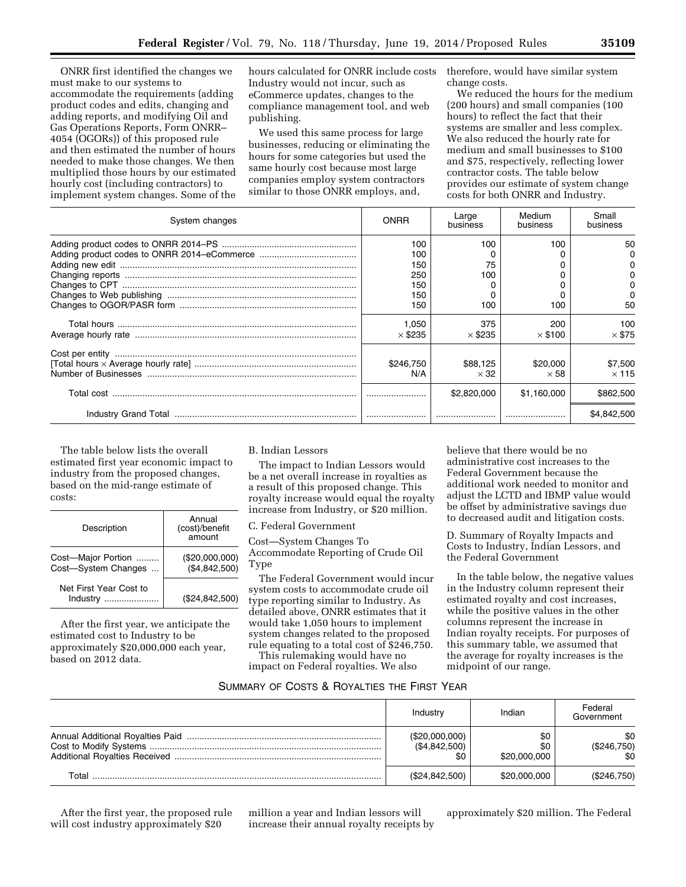ONRR first identified the changes we must make to our systems to accommodate the requirements (adding product codes and edits, changing and adding reports, and modifying Oil and Gas Operations Reports, Form ONRR– 4054 (OGORs)) of this proposed rule and then estimated the number of hours needed to make those changes. We then multiplied those hours by our estimated hourly cost (including contractors) to implement system changes. Some of the

hours calculated for ONRR include costs Industry would not incur, such as eCommerce updates, changes to the compliance management tool, and web publishing.

We used this same process for large businesses, reducing or eliminating the hours for some categories but used the same hourly cost because most large companies employ system contractors similar to those ONRR employs, and,

therefore, would have similar system change costs.

We reduced the hours for the medium (200 hours) and small companies (100 hours) to reflect the fact that their systems are smaller and less complex. We also reduced the hourly rate for medium and small businesses to \$100 and \$75, respectively, reflecting lower contractor costs. The table below provides our estimate of system change costs for both ONRR and Industry.

| System changes | ONRR                                          | Large<br>business       | Medium<br>business      | Small<br>business       |
|----------------|-----------------------------------------------|-------------------------|-------------------------|-------------------------|
|                | 100<br>100<br>150<br>250<br>150<br>150<br>150 | 100<br>75<br>100<br>100 | 100<br>100              | 50<br>O<br>50           |
|                | 1,050<br>$\times$ \$235                       | 375<br>$\times$ \$235   | 200<br>$\times$ \$100   | 100<br>$\times$ \$75    |
|                | \$246,750<br>N/A                              | \$88,125<br>$\times$ 32 | \$20,000<br>$\times$ 58 | \$7,500<br>$\times$ 115 |
|                |                                               | \$2,820,000             | \$1.160.000             | \$862,500               |
|                |                                               |                         |                         | \$4.842,500             |

The table below lists the overall estimated first year economic impact to industry from the proposed changes, based on the mid-range estimate of costs:

| Description                               | Annual<br>(cost)/benefit<br>amount |
|-------------------------------------------|------------------------------------|
| Cost-Major Portion<br>Cost-System Changes | (\$20,000,000)<br>(\$4,842,500)    |
| Net First Year Cost to<br>Industry        | (\$24,842,500)                     |

After the first year, we anticipate the estimated cost to Industry to be approximately \$20,000,000 each year, based on 2012 data.

# B. Indian Lessors

The impact to Indian Lessors would be a net overall increase in royalties as a result of this proposed change. This royalty increase would equal the royalty increase from Industry, or \$20 million.

#### C. Federal Government

Cost—System Changes To Accommodate Reporting of Crude Oil Type

The Federal Government would incur system costs to accommodate crude oil type reporting similar to Industry. As detailed above, ONRR estimates that it would take 1,050 hours to implement system changes related to the proposed rule equating to a total cost of \$246,750.

This rulemaking would have no impact on Federal royalties. We also believe that there would be no administrative cost increases to the Federal Government because the additional work needed to monitor and adjust the LCTD and IBMP value would be offset by administrative savings due to decreased audit and litigation costs.

D. Summary of Royalty Impacts and Costs to Industry, Indian Lessors, and the Federal Government

In the table below, the negative values in the Industry column represent their estimated royalty and cost increases, while the positive values in the other columns represent the increase in Indian royalty receipts. For purposes of this summary table, we assumed that the average for royalty increases is the midpoint of our range.

# SUMMARY OF COSTS & ROYALTIES THE FIRST YEAR

|       | Industry                        | Indian                     | Federal<br>Government     |
|-------|---------------------------------|----------------------------|---------------------------|
|       | (\$20,000,000)<br>(\$4,842,500) | \$0<br>\$0<br>\$20,000,000 | \$0<br>(\$246,750)<br>\$0 |
| Total | (\$24,842,500)                  | \$20,000,000               | (\$246,750)               |

After the first year, the proposed rule will cost industry approximately \$20

million a year and Indian lessors will increase their annual royalty receipts by approximately \$20 million. The Federal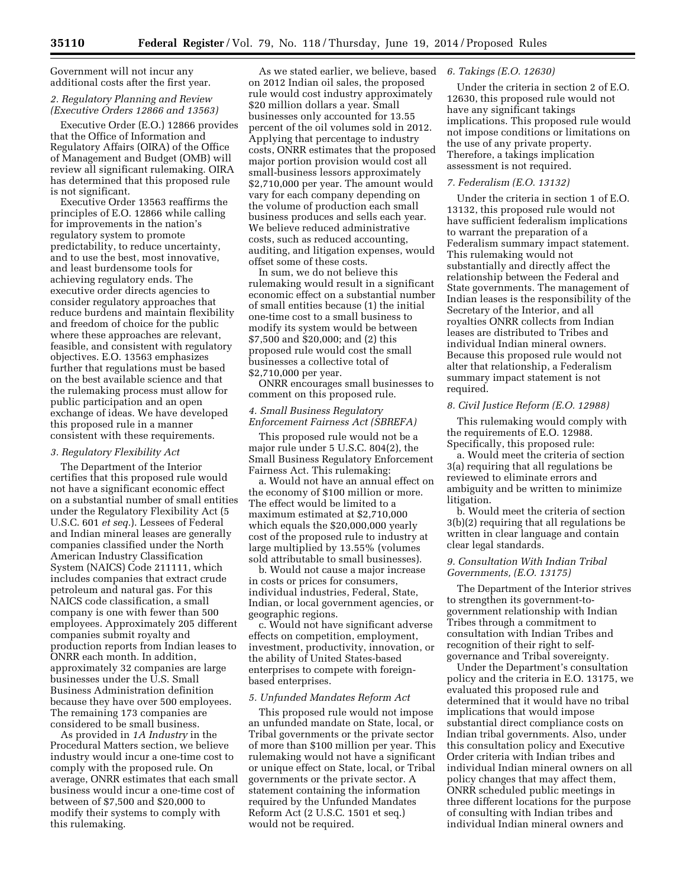Government will not incur any additional costs after the first year.

# *2. Regulatory Planning and Review (Executive Orders 12866 and 13563)*

Executive Order (E.O.) 12866 provides that the Office of Information and Regulatory Affairs (OIRA) of the Office of Management and Budget (OMB) will review all significant rulemaking. OIRA has determined that this proposed rule is not significant.

Executive Order 13563 reaffirms the principles of E.O. 12866 while calling for improvements in the nation's regulatory system to promote predictability, to reduce uncertainty, and to use the best, most innovative, and least burdensome tools for achieving regulatory ends. The executive order directs agencies to consider regulatory approaches that reduce burdens and maintain flexibility and freedom of choice for the public where these approaches are relevant, feasible, and consistent with regulatory objectives. E.O. 13563 emphasizes further that regulations must be based on the best available science and that the rulemaking process must allow for public participation and an open exchange of ideas. We have developed this proposed rule in a manner consistent with these requirements.

#### *3. Regulatory Flexibility Act*

The Department of the Interior certifies that this proposed rule would not have a significant economic effect on a substantial number of small entities under the Regulatory Flexibility Act (5 U.S.C. 601 *et seq.*). Lessees of Federal and Indian mineral leases are generally companies classified under the North American Industry Classification System (NAICS) Code 211111, which includes companies that extract crude petroleum and natural gas. For this NAICS code classification, a small company is one with fewer than 500 employees. Approximately 205 different companies submit royalty and production reports from Indian leases to ONRR each month. In addition, approximately 32 companies are large businesses under the U.S. Small Business Administration definition because they have over 500 employees. The remaining 173 companies are considered to be small business.

As provided in *1A Industry* in the Procedural Matters section, we believe industry would incur a one-time cost to comply with the proposed rule. On average, ONRR estimates that each small business would incur a one-time cost of between of \$7,500 and \$20,000 to modify their systems to comply with this rulemaking.

As we stated earlier, we believe, based *6. Takings (E.O. 12630)*  on 2012 Indian oil sales, the proposed rule would cost industry approximately \$20 million dollars a year. Small businesses only accounted for 13.55 percent of the oil volumes sold in 2012. Applying that percentage to industry costs, ONRR estimates that the proposed major portion provision would cost all small-business lessors approximately \$2,710,000 per year. The amount would vary for each company depending on the volume of production each small business produces and sells each year. We believe reduced administrative costs, such as reduced accounting, auditing, and litigation expenses, would offset some of these costs.

In sum, we do not believe this rulemaking would result in a significant economic effect on a substantial number of small entities because (1) the initial one-time cost to a small business to modify its system would be between \$7,500 and \$20,000; and (2) this proposed rule would cost the small businesses a collective total of \$2,710,000 per year.

ONRR encourages small businesses to comment on this proposed rule.

# *4. Small Business Regulatory Enforcement Fairness Act (SBREFA)*

This proposed rule would not be a major rule under 5 U.S.C. 804(2), the Small Business Regulatory Enforcement Fairness Act. This rulemaking:

a. Would not have an annual effect on the economy of \$100 million or more. The effect would be limited to a maximum estimated at \$2,710,000 which equals the \$20,000,000 yearly cost of the proposed rule to industry at large multiplied by 13.55% (volumes sold attributable to small businesses).

b. Would not cause a major increase in costs or prices for consumers, individual industries, Federal, State, Indian, or local government agencies, or geographic regions.

c. Would not have significant adverse effects on competition, employment, investment, productivity, innovation, or the ability of United States-based enterprises to compete with foreignbased enterprises.

#### *5. Unfunded Mandates Reform Act*

This proposed rule would not impose an unfunded mandate on State, local, or Tribal governments or the private sector of more than \$100 million per year. This rulemaking would not have a significant or unique effect on State, local, or Tribal governments or the private sector. A statement containing the information required by the Unfunded Mandates Reform Act (2 U.S.C. 1501 et seq.) would not be required.

Under the criteria in section 2 of E.O. 12630, this proposed rule would not have any significant takings implications. This proposed rule would not impose conditions or limitations on the use of any private property. Therefore, a takings implication assessment is not required.

# *7. Federalism (E.O. 13132)*

Under the criteria in section 1 of E.O. 13132, this proposed rule would not have sufficient federalism implications to warrant the preparation of a Federalism summary impact statement. This rulemaking would not substantially and directly affect the relationship between the Federal and State governments. The management of Indian leases is the responsibility of the Secretary of the Interior, and all royalties ONRR collects from Indian leases are distributed to Tribes and individual Indian mineral owners. Because this proposed rule would not alter that relationship, a Federalism summary impact statement is not required.

#### *8. Civil Justice Reform (E.O. 12988)*

This rulemaking would comply with the requirements of E.O. 12988. Specifically, this proposed rule:

a. Would meet the criteria of section 3(a) requiring that all regulations be reviewed to eliminate errors and ambiguity and be written to minimize litigation.

b. Would meet the criteria of section 3(b)(2) requiring that all regulations be written in clear language and contain clear legal standards.

# *9. Consultation With Indian Tribal Governments, (E.O. 13175)*

The Department of the Interior strives to strengthen its government-togovernment relationship with Indian Tribes through a commitment to consultation with Indian Tribes and recognition of their right to selfgovernance and Tribal sovereignty.

Under the Department's consultation policy and the criteria in E.O. 13175, we evaluated this proposed rule and determined that it would have no tribal implications that would impose substantial direct compliance costs on Indian tribal governments. Also, under this consultation policy and Executive Order criteria with Indian tribes and individual Indian mineral owners on all policy changes that may affect them, ONRR scheduled public meetings in three different locations for the purpose of consulting with Indian tribes and individual Indian mineral owners and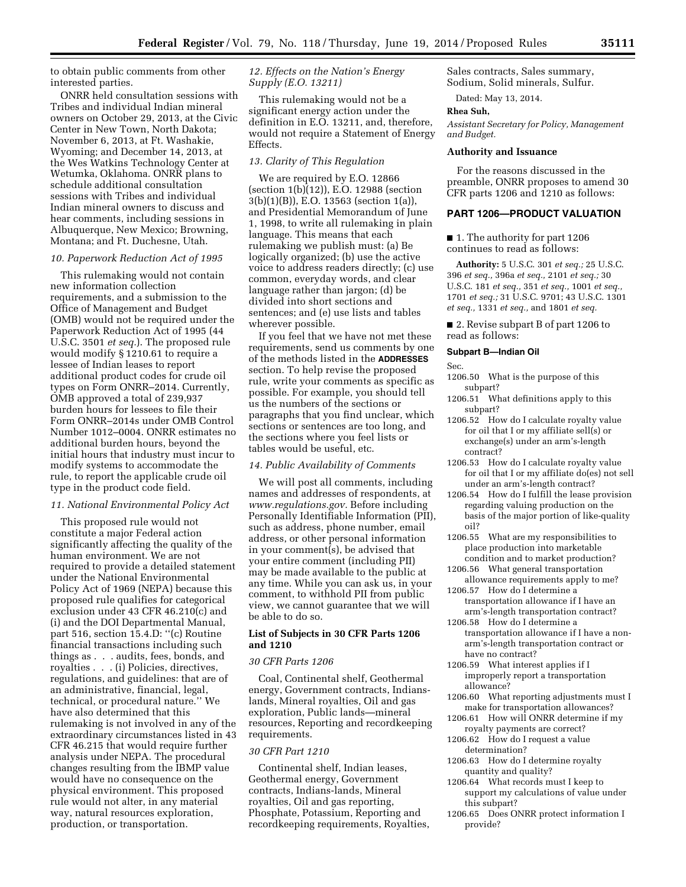to obtain public comments from other interested parties.

ONRR held consultation sessions with Tribes and individual Indian mineral owners on October 29, 2013, at the Civic Center in New Town, North Dakota; November 6, 2013, at Ft. Washakie, Wyoming; and December 14, 2013, at the Wes Watkins Technology Center at Wetumka, Oklahoma. ONRR plans to schedule additional consultation sessions with Tribes and individual Indian mineral owners to discuss and hear comments, including sessions in Albuquerque, New Mexico; Browning, Montana; and Ft. Duchesne, Utah.

#### *10. Paperwork Reduction Act of 1995*

This rulemaking would not contain new information collection requirements, and a submission to the Office of Management and Budget (OMB) would not be required under the Paperwork Reduction Act of 1995 (44 U.S.C. 3501 *et seq.*). The proposed rule would modify § 1210.61 to require a lessee of Indian leases to report additional product codes for crude oil types on Form ONRR–2014. Currently, OMB approved a total of 239,937 burden hours for lessees to file their Form ONRR–2014s under OMB Control Number 1012–0004. ONRR estimates no additional burden hours, beyond the initial hours that industry must incur to modify systems to accommodate the rule, to report the applicable crude oil type in the product code field.

#### *11. National Environmental Policy Act*

This proposed rule would not constitute a major Federal action significantly affecting the quality of the human environment. We are not required to provide a detailed statement under the National Environmental Policy Act of 1969 (NEPA) because this proposed rule qualifies for categorical exclusion under 43 CFR 46.210(c) and (i) and the DOI Departmental Manual, part 516, section 15.4.D: ''(c) Routine financial transactions including such things as . . . audits, fees, bonds, and royalties . . . (i) Policies, directives, regulations, and guidelines: that are of an administrative, financial, legal, technical, or procedural nature.'' We have also determined that this rulemaking is not involved in any of the extraordinary circumstances listed in 43 CFR 46.215 that would require further analysis under NEPA. The procedural changes resulting from the IBMP value would have no consequence on the physical environment. This proposed rule would not alter, in any material way, natural resources exploration, production, or transportation.

# *12. Effects on the Nation's Energy Supply (E.O. 13211)*

This rulemaking would not be a significant energy action under the definition in E.O. 13211, and, therefore, would not require a Statement of Energy Effects.

# *13. Clarity of This Regulation*

We are required by E.O. 12866  $(section 1(b)(12))$ , E.O. 12988 (section 3(b)(1)(B)), E.O. 13563 (section 1(a)), and Presidential Memorandum of June 1, 1998, to write all rulemaking in plain language. This means that each rulemaking we publish must: (a) Be logically organized; (b) use the active voice to address readers directly; (c) use common, everyday words, and clear language rather than jargon; (d) be divided into short sections and sentences; and (e) use lists and tables wherever possible.

If you feel that we have not met these requirements, send us comments by one of the methods listed in the **ADDRESSES** section. To help revise the proposed rule, write your comments as specific as possible. For example, you should tell us the numbers of the sections or paragraphs that you find unclear, which sections or sentences are too long, and the sections where you feel lists or tables would be useful, etc.

#### *14. Public Availability of Comments*

We will post all comments, including names and addresses of respondents, at *[www.regulations.gov.](http://www.regulations.gov)* Before including Personally Identifiable Information (PII), such as address, phone number, email address, or other personal information in your comment(s), be advised that your entire comment (including PII) may be made available to the public at any time. While you can ask us, in your comment, to withhold PII from public view, we cannot guarantee that we will be able to do so.

# **List of Subjects in 30 CFR Parts 1206 and 1210**

#### *30 CFR Parts 1206*

Coal, Continental shelf, Geothermal energy, Government contracts, Indianslands, Mineral royalties, Oil and gas exploration, Public lands—mineral resources, Reporting and recordkeeping requirements.

# *30 CFR Part 1210*

Continental shelf, Indian leases, Geothermal energy, Government contracts, Indians-lands, Mineral royalties, Oil and gas reporting, Phosphate, Potassium, Reporting and recordkeeping requirements, Royalties, Sales contracts, Sales summary, Sodium, Solid minerals, Sulfur.

Dated: May 13, 2014.

# **Rhea Suh,**

*Assistant Secretary for Policy, Management and Budget.* 

# **Authority and Issuance**

For the reasons discussed in the preamble, ONRR proposes to amend 30 CFR parts 1206 and 1210 as follows:

# **PART 1206—PRODUCT VALUATION**

■ 1. The authority for part 1206 continues to read as follows:

**Authority:** 5 U.S.C. 301 *et seq.;* 25 U.S.C. 396 *et seq.,* 396a *et seq.,* 2101 *et seq.;* 30 U.S.C. 181 *et seq.,* 351 *et seq.,* 1001 *et seq.,*  1701 *et seq.;* 31 U.S.C. 9701; 43 U.S.C. 1301 *et seq.,* 1331 *et seq.,* and 1801 *et seq.* 

■ 2. Revise subpart B of part 1206 to read as follows:

# **Subpart B—Indian Oil**

#### Sec.

- 1206.50 What is the purpose of this subpart?
- 1206.51 What definitions apply to this subpart?
- 1206.52 How do I calculate royalty value for oil that I or my affiliate sell(s) or exchange(s) under an arm's-length contract?
- 1206.53 How do I calculate royalty value for oil that I or my affiliate do(es) not sell under an arm's-length contract?
- 1206.54 How do I fulfill the lease provision regarding valuing production on the basis of the major portion of like-quality oil?
- 1206.55 What are my responsibilities to place production into marketable
- condition and to market production? 1206.56 What general transportation
- allowance requirements apply to me? 1206.57 How do I determine a
- transportation allowance if I have an arm's-length transportation contract?
- 1206.58 How do I determine a transportation allowance if I have a nonarm's-length transportation contract or have no contract?
- 1206.59 What interest applies if I improperly report a transportation allowance?
- 1206.60 What reporting adjustments must I make for transportation allowances?
- 1206.61 How will ONRR determine if my royalty payments are correct?
- 1206.62 How do I request a value determination?
- 1206.63 How do I determine royalty quantity and quality?
- 1206.64 What records must I keep to support my calculations of value under this subpart?
- 1206.65 Does ONRR protect information I provide?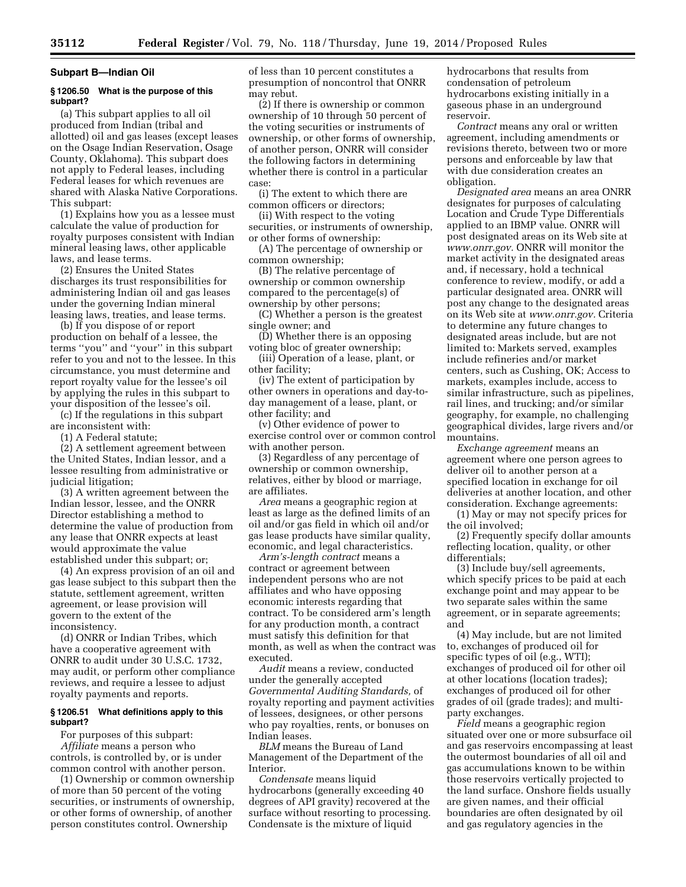#### **Subpart B—Indian Oil**

#### **§ 1206.50 What is the purpose of this subpart?**

(a) This subpart applies to all oil produced from Indian (tribal and allotted) oil and gas leases (except leases on the Osage Indian Reservation, Osage County, Oklahoma). This subpart does not apply to Federal leases, including Federal leases for which revenues are shared with Alaska Native Corporations. This subpart:

(1) Explains how you as a lessee must calculate the value of production for royalty purposes consistent with Indian mineral leasing laws, other applicable laws, and lease terms.

(2) Ensures the United States discharges its trust responsibilities for administering Indian oil and gas leases under the governing Indian mineral leasing laws, treaties, and lease terms.

(b) If you dispose of or report production on behalf of a lessee, the terms ''you'' and ''your'' in this subpart refer to you and not to the lessee. In this circumstance, you must determine and report royalty value for the lessee's oil by applying the rules in this subpart to your disposition of the lessee's oil.

(c) If the regulations in this subpart are inconsistent with:

(1) A Federal statute;

(2) A settlement agreement between the United States, Indian lessor, and a lessee resulting from administrative or judicial litigation;

(3) A written agreement between the Indian lessor, lessee, and the ONRR Director establishing a method to determine the value of production from any lease that ONRR expects at least would approximate the value established under this subpart; or;

(4) An express provision of an oil and gas lease subject to this subpart then the statute, settlement agreement, written agreement, or lease provision will govern to the extent of the inconsistency.

(d) ONRR or Indian Tribes, which have a cooperative agreement with ONRR to audit under 30 U.S.C. 1732, may audit, or perform other compliance reviews, and require a lessee to adjust royalty payments and reports.

#### **§ 1206.51 What definitions apply to this subpart?**

For purposes of this subpart: *Affiliate* means a person who controls, is controlled by, or is under common control with another person.

(1) Ownership or common ownership of more than 50 percent of the voting securities, or instruments of ownership, or other forms of ownership, of another person constitutes control. Ownership

of less than 10 percent constitutes a presumption of noncontrol that ONRR may rebut.

(2) If there is ownership or common ownership of 10 through 50 percent of the voting securities or instruments of ownership, or other forms of ownership, of another person, ONRR will consider the following factors in determining whether there is control in a particular case:

(i) The extent to which there are common officers or directors;

(ii) With respect to the voting securities, or instruments of ownership, or other forms of ownership:

(A) The percentage of ownership or common ownership;

(B) The relative percentage of ownership or common ownership compared to the percentage(s) of ownership by other persons;

(C) Whether a person is the greatest single owner; and

(D) Whether there is an opposing voting bloc of greater ownership;

(iii) Operation of a lease, plant, or other facility;

(iv) The extent of participation by other owners in operations and day-today management of a lease, plant, or other facility; and

(v) Other evidence of power to exercise control over or common control with another person.

(3) Regardless of any percentage of ownership or common ownership, relatives, either by blood or marriage, are affiliates.

*Area* means a geographic region at least as large as the defined limits of an oil and/or gas field in which oil and/or gas lease products have similar quality, economic, and legal characteristics.

*Arm's-length contract* means a contract or agreement between independent persons who are not affiliates and who have opposing economic interests regarding that contract. To be considered arm's length for any production month, a contract must satisfy this definition for that month, as well as when the contract was executed.

*Audit* means a review, conducted under the generally accepted *Governmental Auditing Standards,* of royalty reporting and payment activities of lessees, designees, or other persons who pay royalties, rents, or bonuses on Indian leases.

*BLM* means the Bureau of Land Management of the Department of the Interior.

*Condensate* means liquid hydrocarbons (generally exceeding 40 degrees of API gravity) recovered at the surface without resorting to processing. Condensate is the mixture of liquid

hydrocarbons that results from condensation of petroleum hydrocarbons existing initially in a gaseous phase in an underground reservoir.

*Contract* means any oral or written agreement, including amendments or revisions thereto, between two or more persons and enforceable by law that with due consideration creates an obligation.

*Designated area* means an area ONRR designates for purposes of calculating Location and Crude Type Differentials applied to an IBMP value. ONRR will post designated areas on its Web site at *[www.onrr.gov.](http://www.onrr.gov)* ONRR will monitor the market activity in the designated areas and, if necessary, hold a technical conference to review, modify, or add a particular designated area. ONRR will post any change to the designated areas on its Web site at *[www.onrr.gov.](http://www.onrr.gov)* Criteria to determine any future changes to designated areas include, but are not limited to: Markets served, examples include refineries and/or market centers, such as Cushing, OK; Access to markets, examples include, access to similar infrastructure, such as pipelines, rail lines, and trucking; and/or similar geography, for example, no challenging geographical divides, large rivers and/or mountains.

*Exchange agreement* means an agreement where one person agrees to deliver oil to another person at a specified location in exchange for oil deliveries at another location, and other consideration. Exchange agreements:

(1) May or may not specify prices for the oil involved;

(2) Frequently specify dollar amounts reflecting location, quality, or other differentials;

(3) Include buy/sell agreements, which specify prices to be paid at each exchange point and may appear to be two separate sales within the same agreement, or in separate agreements; and

(4) May include, but are not limited to, exchanges of produced oil for specific types of oil (e.g., WTI); exchanges of produced oil for other oil at other locations (location trades); exchanges of produced oil for other grades of oil (grade trades); and multiparty exchanges.

*Field* means a geographic region situated over one or more subsurface oil and gas reservoirs encompassing at least the outermost boundaries of all oil and gas accumulations known to be within those reservoirs vertically projected to the land surface. Onshore fields usually are given names, and their official boundaries are often designated by oil and gas regulatory agencies in the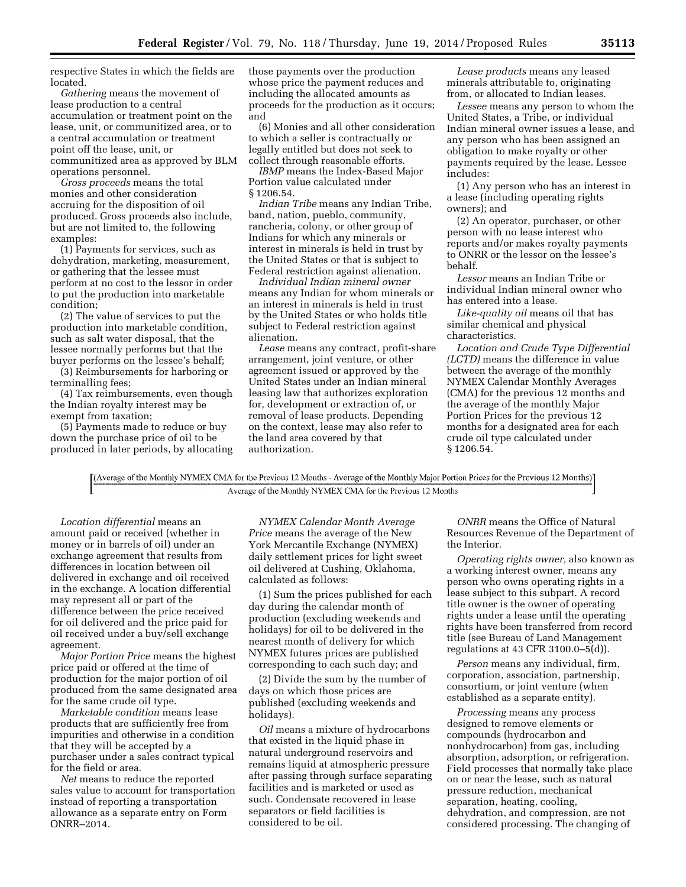respective States in which the fields are located.

*Gathering* means the movement of lease production to a central accumulation or treatment point on the lease, unit, or communitized area, or to a central accumulation or treatment point off the lease, unit, or communitized area as approved by BLM operations personnel.

*Gross proceeds* means the total monies and other consideration accruing for the disposition of oil produced. Gross proceeds also include, but are not limited to, the following examples:

(1) Payments for services, such as dehydration, marketing, measurement, or gathering that the lessee must perform at no cost to the lessor in order to put the production into marketable condition;

(2) The value of services to put the production into marketable condition, such as salt water disposal, that the lessee normally performs but that the buyer performs on the lessee's behalf;

(3) Reimbursements for harboring or terminalling fees;

(4) Tax reimbursements, even though the Indian royalty interest may be exempt from taxation;

(5) Payments made to reduce or buy down the purchase price of oil to be produced in later periods, by allocating those payments over the production whose price the payment reduces and including the allocated amounts as proceeds for the production as it occurs; and

(6) Monies and all other consideration to which a seller is contractually or legally entitled but does not seek to collect through reasonable efforts.

*IBMP* means the Index-Based Major Portion value calculated under § 1206.54.

*Indian Tribe* means any Indian Tribe, band, nation, pueblo, community, rancheria, colony, or other group of Indians for which any minerals or interest in minerals is held in trust by the United States or that is subject to Federal restriction against alienation.

*Individual Indian mineral owner*  means any Indian for whom minerals or an interest in minerals is held in trust by the United States or who holds title subject to Federal restriction against alienation.

*Lease* means any contract, profit-share arrangement, joint venture, or other agreement issued or approved by the United States under an Indian mineral leasing law that authorizes exploration for, development or extraction of, or removal of lease products. Depending on the context, lease may also refer to the land area covered by that authorization.

*Lease products* means any leased minerals attributable to, originating from, or allocated to Indian leases.

*Lessee* means any person to whom the United States, a Tribe, or individual Indian mineral owner issues a lease, and any person who has been assigned an obligation to make royalty or other payments required by the lease. Lessee includes:

(1) Any person who has an interest in a lease (including operating rights owners); and

(2) An operator, purchaser, or other person with no lease interest who reports and/or makes royalty payments to ONRR or the lessor on the lessee's behalf.

*Lessor* means an Indian Tribe or individual Indian mineral owner who has entered into a lease.

*Like-quality oil* means oil that has similar chemical and physical characteristics.

*Location and Crude Type Differential (LCTD)* means the difference in value between the average of the monthly NYMEX Calendar Monthly Averages (CMA) for the previous 12 months and the average of the monthly Major Portion Prices for the previous 12 months for a designated area for each crude oil type calculated under § 1206.54.

[(Average of the Monthly NYMEX CMA for the Previous 12 Months - Average of the Monthly Major Portion Prices for the Previous 12 Months)] Average of the Monthly NYMEX CMA for the Previous 12 Months

*Location differential* means an amount paid or received (whether in money or in barrels of oil) under an exchange agreement that results from differences in location between oil delivered in exchange and oil received in the exchange. A location differential may represent all or part of the difference between the price received for oil delivered and the price paid for oil received under a buy/sell exchange agreement.

*Major Portion Price* means the highest price paid or offered at the time of production for the major portion of oil produced from the same designated area for the same crude oil type.

*Marketable condition* means lease products that are sufficiently free from impurities and otherwise in a condition that they will be accepted by a purchaser under a sales contract typical for the field or area.

*Net* means to reduce the reported sales value to account for transportation instead of reporting a transportation allowance as a separate entry on Form ONRR–2014.

*NYMEX Calendar Month Average Price* means the average of the New York Mercantile Exchange (NYMEX) daily settlement prices for light sweet oil delivered at Cushing, Oklahoma, calculated as follows:

(1) Sum the prices published for each day during the calendar month of production (excluding weekends and holidays) for oil to be delivered in the nearest month of delivery for which NYMEX futures prices are published corresponding to each such day; and

(2) Divide the sum by the number of days on which those prices are published (excluding weekends and holidays).

*Oil* means a mixture of hydrocarbons that existed in the liquid phase in natural underground reservoirs and remains liquid at atmospheric pressure after passing through surface separating facilities and is marketed or used as such. Condensate recovered in lease separators or field facilities is considered to be oil.

*ONRR* means the Office of Natural Resources Revenue of the Department of the Interior.

*Operating rights owner,* also known as a working interest owner, means any person who owns operating rights in a lease subject to this subpart. A record title owner is the owner of operating rights under a lease until the operating rights have been transferred from record title (see Bureau of Land Management regulations at 43 CFR 3100.0–5(d)).

*Person* means any individual, firm, corporation, association, partnership, consortium, or joint venture (when established as a separate entity).

*Processing* means any process designed to remove elements or compounds (hydrocarbon and nonhydrocarbon) from gas, including absorption, adsorption, or refrigeration. Field processes that normally take place on or near the lease, such as natural pressure reduction, mechanical separation, heating, cooling, dehydration, and compression, are not considered processing. The changing of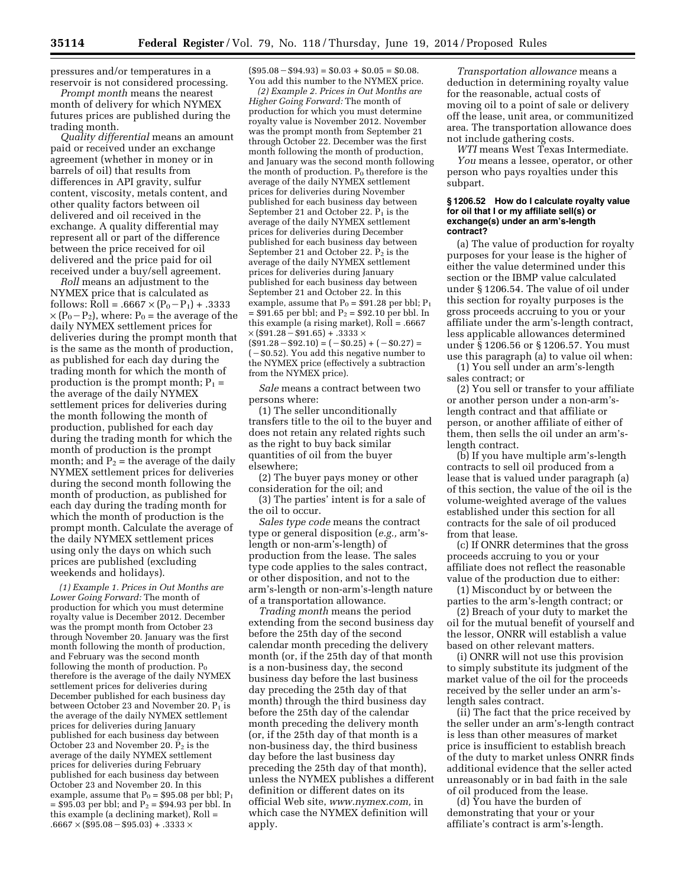pressures and/or temperatures in a reservoir is not considered processing.

*Prompt month* means the nearest month of delivery for which NYMEX futures prices are published during the trading month.

*Quality differential* means an amount paid or received under an exchange agreement (whether in money or in barrels of oil) that results from differences in API gravity, sulfur content, viscosity, metals content, and other quality factors between oil delivered and oil received in the exchange. A quality differential may represent all or part of the difference between the price received for oil delivered and the price paid for oil received under a buy/sell agreement.

*Roll* means an adjustment to the NYMEX price that is calculated as follows: Roll = .6667  $\times$  (P<sub>0</sub>-P<sub>1</sub>) + .3333  $\times$  (P<sub>0</sub> – P<sub>2</sub>), where: P<sub>0</sub> = the average of the daily NYMEX settlement prices for deliveries during the prompt month that is the same as the month of production, as published for each day during the trading month for which the month of production is the prompt month;  $P_1 =$ the average of the daily NYMEX settlement prices for deliveries during the month following the month of production, published for each day during the trading month for which the month of production is the prompt month; and  $P_2$  = the average of the daily NYMEX settlement prices for deliveries during the second month following the month of production, as published for each day during the trading month for which the month of production is the prompt month. Calculate the average of the daily NYMEX settlement prices using only the days on which such prices are published (excluding weekends and holidays).

*(1) Example 1. Prices in Out Months are Lower Going Forward:* The month of production for which you must determine royalty value is December 2012. December was the prompt month from October 23 through November 20. January was the first month following the month of production, and February was the second month following the month of production.  $P_0$ therefore is the average of the daily NYMEX settlement prices for deliveries during December published for each business day between October 23 and November 20.  $P_1$  is the average of the daily NYMEX settlement prices for deliveries during January published for each business day between October 23 and November 20.  $\overline{P}_2$  is the average of the daily NYMEX settlement prices for deliveries during February published for each business day between October 23 and November 20. In this example, assume that  $P_0 = $95.08$  per bbl;  $P_1$  $= $95.03$  per bbl; and P<sub>2</sub> = \$94.93 per bbl. In this example (a declining market), Roll =  $.6667 \times (\$95.08 - \$95.03) + .3333 \times$ 

 $($95.08 - $94.93) = $0.03 + $0.05 = $0.08.$ You add this number to the NYMEX price.

*(2) Example 2. Prices in Out Months are Higher Going Forward:* The month of production for which you must determine royalty value is November 2012. November was the prompt month from September 21 through October 22. December was the first month following the month of production, and January was the second month following the month of production.  $P_0$  therefore is the average of the daily NYMEX settlement prices for deliveries during November published for each business day between September 21 and October 22.  $P_1$  is the average of the daily NYMEX settlement prices for deliveries during December published for each business day between September 21 and October 22.  $P_2$  is the average of the daily NYMEX settlement prices for deliveries during January published for each business day between September 21 and October 22. In this example, assume that  $P_0 = $91.28$  per bbl;  $P_1$  $= $91.65$  per bbl; and P<sub>2</sub> = \$92.10 per bbl. In this example (a rising market), Roll = .6667  $\times$  (\$91.28 – \$91.65) + .3333  $\times$  $($91.28 - $92.10) = (-\$0.25) + (-\$0.27) =$  $(-\$0.52)$ . You add this negative number to the NYMEX price (effectively a subtraction from the NYMEX price).

*Sale* means a contract between two persons where:

(1) The seller unconditionally transfers title to the oil to the buyer and does not retain any related rights such as the right to buy back similar quantities of oil from the buyer elsewhere;

(2) The buyer pays money or other consideration for the oil; and

(3) The parties' intent is for a sale of the oil to occur.

*Sales type code* means the contract type or general disposition (*e.g.,* arm'slength or non-arm's-length) of production from the lease. The sales type code applies to the sales contract, or other disposition, and not to the arm's-length or non-arm's-length nature of a transportation allowance.

*Trading month* means the period extending from the second business day before the 25th day of the second calendar month preceding the delivery month (or, if the 25th day of that month is a non-business day, the second business day before the last business day preceding the 25th day of that month) through the third business day before the 25th day of the calendar month preceding the delivery month (or, if the 25th day of that month is a non-business day, the third business day before the last business day preceding the 25th day of that month), unless the NYMEX publishes a different definition or different dates on its official Web site, *[www.nymex.com,](http://www.nymex.com)* in which case the NYMEX definition will apply.

*Transportation allowance* means a deduction in determining royalty value for the reasonable, actual costs of moving oil to a point of sale or delivery off the lease, unit area, or communitized area. The transportation allowance does not include gathering costs.

*WTI* means West Texas Intermediate. *You* means a lessee, operator, or other person who pays royalties under this subpart.

#### **§ 1206.52 How do I calculate royalty value for oil that I or my affiliate sell(s) or exchange(s) under an arm's-length contract?**

(a) The value of production for royalty purposes for your lease is the higher of either the value determined under this section or the IBMP value calculated under § 1206.54. The value of oil under this section for royalty purposes is the gross proceeds accruing to you or your affiliate under the arm's-length contract, less applicable allowances determined under § 1206.56 or § 1206.57. You must use this paragraph (a) to value oil when:

(1) You sell under an arm's-length sales contract; or

(2) You sell or transfer to your affiliate or another person under a non-arm'slength contract and that affiliate or person, or another affiliate of either of them, then sells the oil under an arm'slength contract.

(b) If you have multiple arm's-length contracts to sell oil produced from a lease that is valued under paragraph (a) of this section, the value of the oil is the volume-weighted average of the values established under this section for all contracts for the sale of oil produced from that lease.

(c) If ONRR determines that the gross proceeds accruing to you or your affiliate does not reflect the reasonable value of the production due to either:

(1) Misconduct by or between the parties to the arm's-length contract; or

(2) Breach of your duty to market the oil for the mutual benefit of yourself and the lessor, ONRR will establish a value based on other relevant matters.

(i) ONRR will not use this provision to simply substitute its judgment of the market value of the oil for the proceeds received by the seller under an arm'slength sales contract.

(ii) The fact that the price received by the seller under an arm's-length contract is less than other measures of market price is insufficient to establish breach of the duty to market unless ONRR finds additional evidence that the seller acted unreasonably or in bad faith in the sale of oil produced from the lease.

(d) You have the burden of demonstrating that your or your affiliate's contract is arm's-length.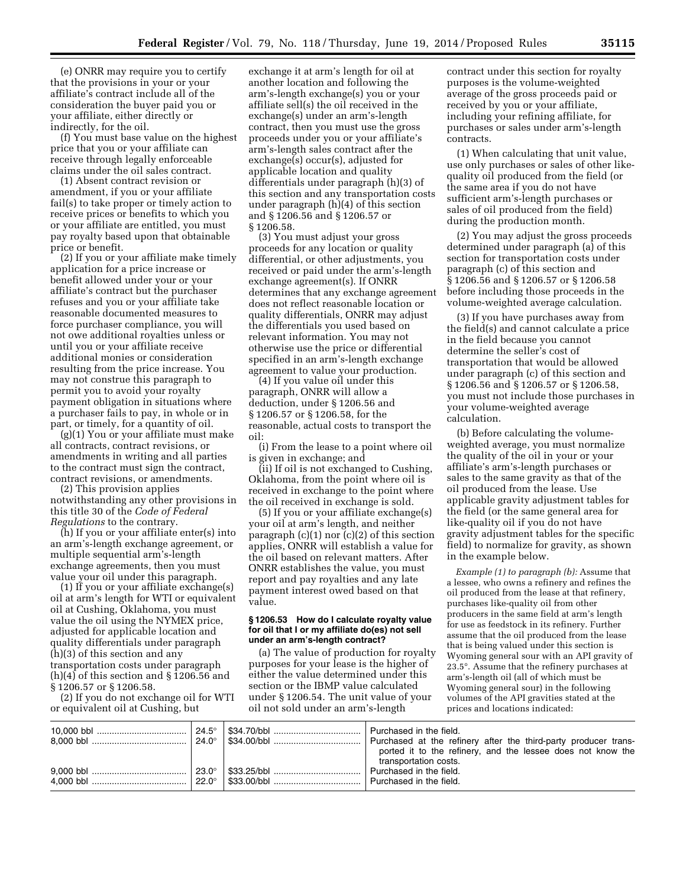(e) ONRR may require you to certify that the provisions in your or your affiliate's contract include all of the consideration the buyer paid you or your affiliate, either directly or indirectly, for the oil.

(f) You must base value on the highest price that you or your affiliate can receive through legally enforceable claims under the oil sales contract.

(1) Absent contract revision or amendment, if you or your affiliate fail(s) to take proper or timely action to receive prices or benefits to which you or your affiliate are entitled, you must pay royalty based upon that obtainable price or benefit.

(2) If you or your affiliate make timely application for a price increase or benefit allowed under your or your affiliate's contract but the purchaser refuses and you or your affiliate take reasonable documented measures to force purchaser compliance, you will not owe additional royalties unless or until you or your affiliate receive additional monies or consideration resulting from the price increase. You may not construe this paragraph to permit you to avoid your royalty payment obligation in situations where a purchaser fails to pay, in whole or in part, or timely, for a quantity of oil.

(g)(1) You or your affiliate must make all contracts, contract revisions, or amendments in writing and all parties to the contract must sign the contract, contract revisions, or amendments.

(2) This provision applies notwithstanding any other provisions in this title 30 of the *Code of Federal Regulations* to the contrary.

(h) If you or your affiliate enter(s) into an arm's-length exchange agreement, or multiple sequential arm's-length exchange agreements, then you must value your oil under this paragraph.

(1) If you or your affiliate exchange(s) oil at arm's length for WTI or equivalent oil at Cushing, Oklahoma, you must value the oil using the NYMEX price, adjusted for applicable location and quality differentials under paragraph (h)(3) of this section and any transportation costs under paragraph (h)(4) of this section and § 1206.56 and § 1206.57 or § 1206.58.

(2) If you do not exchange oil for WTI or equivalent oil at Cushing, but

exchange it at arm's length for oil at another location and following the arm's-length exchange(s) you or your affiliate sell(s) the oil received in the exchange(s) under an arm's-length contract, then you must use the gross proceeds under you or your affiliate's arm's-length sales contract after the exchange(s) occur(s), adjusted for applicable location and quality differentials under paragraph (h)(3) of this section and any transportation costs under paragraph (h)(4) of this section and § 1206.56 and § 1206.57 or § 1206.58.

(3) You must adjust your gross proceeds for any location or quality differential, or other adjustments, you received or paid under the arm's-length exchange agreement(s). If ONRR determines that any exchange agreement does not reflect reasonable location or quality differentials, ONRR may adjust the differentials you used based on relevant information. You may not otherwise use the price or differential specified in an arm's-length exchange agreement to value your production.

(4) If you value oil under this paragraph, ONRR will allow a deduction, under § 1206.56 and § 1206.57 or § 1206.58, for the reasonable, actual costs to transport the oil:

(i) From the lease to a point where oil is given in exchange; and

(ii) If oil is not exchanged to Cushing, Oklahoma, from the point where oil is received in exchange to the point where the oil received in exchange is sold.

(5) If you or your affiliate exchange(s) your oil at arm's length, and neither paragraph (c)(1) nor (c)(2) of this section applies, ONRR will establish a value for the oil based on relevant matters. After ONRR establishes the value, you must report and pay royalties and any late payment interest owed based on that value.

#### **§ 1206.53 How do I calculate royalty value for oil that I or my affiliate do(es) not sell under an arm's-length contract?**

(a) The value of production for royalty purposes for your lease is the higher of either the value determined under this section or the IBMP value calculated under § 1206.54. The unit value of your oil not sold under an arm's-length

contract under this section for royalty purposes is the volume-weighted average of the gross proceeds paid or received by you or your affiliate, including your refining affiliate, for purchases or sales under arm's-length contracts.

(1) When calculating that unit value, use only purchases or sales of other likequality oil produced from the field (or the same area if you do not have sufficient arm's-length purchases or sales of oil produced from the field) during the production month.

(2) You may adjust the gross proceeds determined under paragraph (a) of this section for transportation costs under paragraph (c) of this section and § 1206.56 and § 1206.57 or § 1206.58 before including those proceeds in the volume-weighted average calculation.

(3) If you have purchases away from the field(s) and cannot calculate a price in the field because you cannot determine the seller's cost of transportation that would be allowed under paragraph (c) of this section and § 1206.56 and § 1206.57 or § 1206.58, you must not include those purchases in your volume-weighted average calculation.

(b) Before calculating the volumeweighted average, you must normalize the quality of the oil in your or your affiliate's arm's-length purchases or sales to the same gravity as that of the oil produced from the lease. Use applicable gravity adjustment tables for the field (or the same general area for like-quality oil if you do not have gravity adjustment tables for the specific field) to normalize for gravity, as shown in the example below.

*Example (1) to paragraph (b):* Assume that a lessee, who owns a refinery and refines the oil produced from the lease at that refinery, purchases like-quality oil from other producers in the same field at arm's length for use as feedstock in its refinery. Further assume that the oil produced from the lease that is being valued under this section is Wyoming general sour with an API gravity of 23.5°. Assume that the refinery purchases at arm's-length oil (all of which must be Wyoming general sour) in the following volumes of the API gravities stated at the prices and locations indicated:

|  | Purchased at the refinery after the third-party producer trans-<br>ported it to the refinery, and the lessee does not know the<br>transportation costs. |
|--|---------------------------------------------------------------------------------------------------------------------------------------------------------|
|  |                                                                                                                                                         |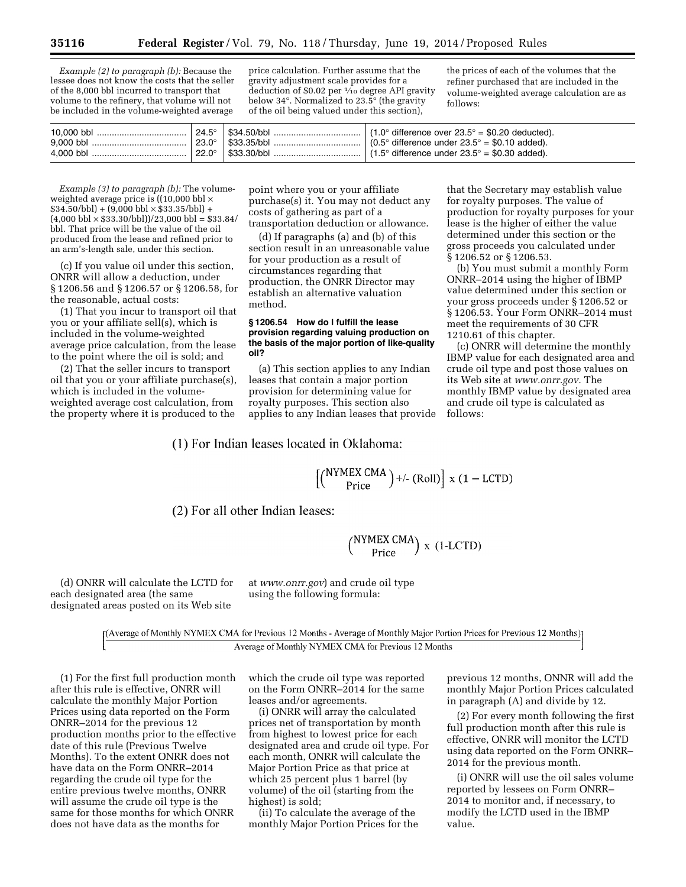*Example (2) to paragraph (b):* Because the lessee does not know the costs that the seller of the 8,000 bbl incurred to transport that volume to the refinery, that volume will not be included in the volume-weighted average

price calculation. Further assume that the gravity adjustment scale provides for a deduction of \$0.02 per 1⁄10 degree API gravity below 34°. Normalized to 23.5° (the gravity of the oil being valued under this section),

the prices of each of the volumes that the refiner purchased that are included in the volume-weighted average calculation are as follows:

| 10.000 bbl | $24.5^\circ$ | . S34.50/bbl ∃           | $(1.0^{\circ}$ difference over 23.5° = \$0.20 deducted). |
|------------|--------------|--------------------------|----------------------------------------------------------|
| 9.000 bbl  | $23.0^\circ$ | $^{\circ}$ \$33.35/bbl . | $(0.5^{\circ}$ difference under 23.5° = \$0.10 added).   |
| 4.000 bbl  | $22.0^\circ$ | \$33.30/bbl              | $(1.5^{\circ}$ difference under 23.5° = \$0.30 added).   |

*Example (3) to paragraph (b):* The volumeweighted average price is ((10,000 bbl  $\times$  $$34.50/bbl$  + (9,000 bbl  $\times$  \$33.35/bbl) +  $(4,000 \text{ bb}1 \times $33.30/bbl})/23,000 \text{ bb}1 = $33.84/$ bbl. That price will be the value of the oil produced from the lease and refined prior to an arm's-length sale, under this section.

(c) If you value oil under this section, ONRR will allow a deduction, under § 1206.56 and § 1206.57 or § 1206.58, for the reasonable, actual costs:

(1) That you incur to transport oil that you or your affiliate sell(s), which is included in the volume-weighted average price calculation, from the lease to the point where the oil is sold; and

(2) That the seller incurs to transport oil that you or your affiliate purchase(s), which is included in the volumeweighted average cost calculation, from the property where it is produced to the

point where you or your affiliate purchase(s) it. You may not deduct any costs of gathering as part of a transportation deduction or allowance.

(d) If paragraphs (a) and (b) of this section result in an unreasonable value for your production as a result of circumstances regarding that production, the ONRR Director may establish an alternative valuation method.

#### **§ 1206.54 How do I fulfill the lease provision regarding valuing production on the basis of the major portion of like-quality oil?**

(a) This section applies to any Indian leases that contain a major portion provision for determining value for royalty purposes. This section also applies to any Indian leases that provide

# (1) For Indian leases located in Oklahoma:

for royalty purposes. The value of production for royalty purposes for your lease is the higher of either the value determined under this section or the gross proceeds you calculated under § 1206.52 or § 1206.53.

that the Secretary may establish value

(b) You must submit a monthly Form ONRR–2014 using the higher of IBMP value determined under this section or your gross proceeds under § 1206.52 or § 1206.53. Your Form ONRR–2014 must meet the requirements of 30 CFR 1210.61 of this chapter.

(c) ONRR will determine the monthly IBMP value for each designated area and crude oil type and post those values on its Web site at *[www.onrr.gov.](http://www.onrr.gov)* The monthly IBMP value by designated area and crude oil type is calculated as follows:

 $\left[\binom{NYMEX CMA}{Price}\right]+/- (Roll)\right]$  x (1 – LCTD)

(2) For all other Indian leases:

 $\binom{NYMEX\,CMA}{Price}$  x (1-LCTD)

(d) ONRR will calculate the LCTD for each designated area (the same designated areas posted on its Web site

at *[www.onrr.gov](http://www.onrr.gov)*) and crude oil type using the following formula:

[(Average of Monthly NYMEX CMA for Previous 12 Months - Average of Monthly Major Portion Prices for Previous 12 Months)] Average of Monthly NYMEX CMA for Previous 12 Months

(1) For the first full production month after this rule is effective, ONRR will calculate the monthly Major Portion Prices using data reported on the Form ONRR–2014 for the previous 12 production months prior to the effective date of this rule (Previous Twelve Months). To the extent ONRR does not have data on the Form ONRR–2014 regarding the crude oil type for the entire previous twelve months, ONRR will assume the crude oil type is the same for those months for which ONRR does not have data as the months for

which the crude oil type was reported on the Form ONRR–2014 for the same leases and/or agreements.

(i) ONRR will array the calculated prices net of transportation by month from highest to lowest price for each designated area and crude oil type. For each month, ONRR will calculate the Major Portion Price as that price at which 25 percent plus 1 barrel (by volume) of the oil (starting from the highest) is sold;

(ii) To calculate the average of the monthly Major Portion Prices for the

previous 12 months, ONNR will add the monthly Major Portion Prices calculated in paragraph (A) and divide by 12.

(2) For every month following the first full production month after this rule is effective, ONRR will monitor the LCTD using data reported on the Form ONRR– 2014 for the previous month.

(i) ONRR will use the oil sales volume reported by lessees on Form ONRR– 2014 to monitor and, if necessary, to modify the LCTD used in the IBMP value.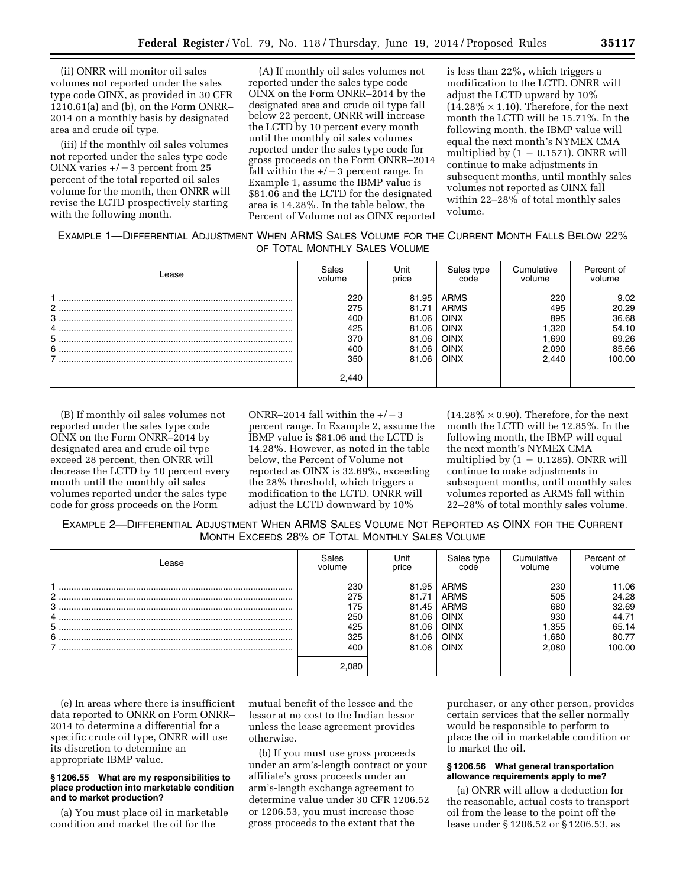(ii) ONRR will monitor oil sales volumes not reported under the sales type code OINX, as provided in 30 CFR 1210.61(a) and (b), on the Form ONRR– 2014 on a monthly basis by designated area and crude oil type.

(iii) If the monthly oil sales volumes not reported under the sales type code OINX varies  $+/-3$  percent from 25 percent of the total reported oil sales volume for the month, then ONRR will revise the LCTD prospectively starting with the following month.

(A) If monthly oil sales volumes not reported under the sales type code OINX on the Form ONRR–2014 by the designated area and crude oil type fall below 22 percent, ONRR will increase the LCTD by 10 percent every month until the monthly oil sales volumes reported under the sales type code for gross proceeds on the Form ONRR–2014 fall within the  $+/-3$  percent range. In Example 1, assume the IBMP value is \$81.06 and the LCTD for the designated area is 14.28%. In the table below, the Percent of Volume not as OINX reported is less than 22%, which triggers a modification to the LCTD. ONRR will adjust the LCTD upward by 10%  $(14.28\% \times 1.10)$ . Therefore, for the next month the LCTD will be 15.71%. In the following month, the IBMP value will equal the next month's NYMEX CMA multiplied by  $(1 - 0.1571)$ . ONRR will continue to make adjustments in subsequent months, until monthly sales volumes not reported as OINX fall within 22–28% of total monthly sales volume.

| <b>EXAMPLE 1—DIFFERENTIAL ADJUSTMENT WHEN ARMS SALES VOLUME FOR THE CURRENT MONTH FALLS BELOW 22%</b> |                               |  |
|-------------------------------------------------------------------------------------------------------|-------------------------------|--|
|                                                                                                       | OF TOTAL MONTHLY SALES VOLUME |  |

| Lease | Sales                                                  | Unit                                                        | Sales type                                                                              | Cumulative                                              | Percent of                                                  |
|-------|--------------------------------------------------------|-------------------------------------------------------------|-----------------------------------------------------------------------------------------|---------------------------------------------------------|-------------------------------------------------------------|
|       | volume                                                 | price                                                       | code                                                                                    | volume                                                  | volume                                                      |
|       | 220<br>275<br>400<br>425<br>370<br>400<br>350<br>2.440 | 81.95<br>81.71<br>81.06<br>81.06<br>81.06<br>81.06<br>81.06 | ARMS<br>ARMS<br><b>OINX</b><br><b>OINX</b><br><b>OINX</b><br><b>OINX</b><br><b>OINX</b> | 220<br>495<br>895<br>320. ا<br>690. ا<br>2.090<br>2.440 | 9.02<br>20.29<br>36.68<br>54.10<br>69.26<br>85.66<br>100.00 |

(B) If monthly oil sales volumes not reported under the sales type code OINX on the Form ONRR–2014 by designated area and crude oil type exceed 28 percent, then ONRR will decrease the LCTD by 10 percent every month until the monthly oil sales volumes reported under the sales type code for gross proceeds on the Form

ONRR–2014 fall within the  $+/-3$ percent range. In Example 2, assume the IBMP value is \$81.06 and the LCTD is 14.28%. However, as noted in the table below, the Percent of Volume not reported as OINX is 32.69%, exceeding the 28% threshold, which triggers a modification to the LCTD. ONRR will adjust the LCTD downward by 10%

 $(14.28\% \times 0.90)$ . Therefore, for the next month the LCTD will be 12.85%. In the following month, the IBMP will equal the next month's NYMEX CMA multiplied by  $(1 - 0.1285)$ . ONRR will continue to make adjustments in subsequent months, until monthly sales volumes reported as ARMS fall within 22–28% of total monthly sales volume.

EXAMPLE 2—DIFFERENTIAL ADJUSTMENT WHEN ARMS SALES VOLUME NOT REPORTED AS OINX FOR THE CURRENT MONTH EXCEEDS 28% OF TOTAL MONTHLY SALES VOLUME

| Lease       | Sales<br>volume                               | Unit<br>price                                               | Sales type<br>code                                                               | Cumulative<br>volume                                | Percent of<br>volume                                         |
|-------------|-----------------------------------------------|-------------------------------------------------------------|----------------------------------------------------------------------------------|-----------------------------------------------------|--------------------------------------------------------------|
| ົ<br>3<br>6 | 230<br>275<br>175<br>250<br>425<br>325<br>400 | 81.95<br>81.71<br>81.45<br>81.06<br>81.06<br>81.06<br>81.06 | ARMS<br>ARMS<br>ARMS<br><b>OINX</b><br><b>OINX</b><br><b>OINX</b><br><b>OINX</b> | 230<br>505<br>680<br>930<br>1.355<br>1.680<br>2.080 | 11.06<br>24.28<br>32.69<br>44.71<br>65.14<br>80.77<br>100.00 |
|             | .080                                          |                                                             |                                                                                  |                                                     |                                                              |

(e) In areas where there is insufficient data reported to ONRR on Form ONRR– 2014 to determine a differential for a specific crude oil type, ONRR will use its discretion to determine an appropriate IBMP value.

#### **§ 1206.55 What are my responsibilities to place production into marketable condition and to market production?**

(a) You must place oil in marketable condition and market the oil for the

mutual benefit of the lessee and the lessor at no cost to the Indian lessor unless the lease agreement provides otherwise.

(b) If you must use gross proceeds under an arm's-length contract or your affiliate's gross proceeds under an arm's-length exchange agreement to determine value under 30 CFR 1206.52 or 1206.53, you must increase those gross proceeds to the extent that the

purchaser, or any other person, provides certain services that the seller normally would be responsible to perform to place the oil in marketable condition or to market the oil.

# **§ 1206.56 What general transportation allowance requirements apply to me?**

(a) ONRR will allow a deduction for the reasonable, actual costs to transport oil from the lease to the point off the lease under § 1206.52 or § 1206.53, as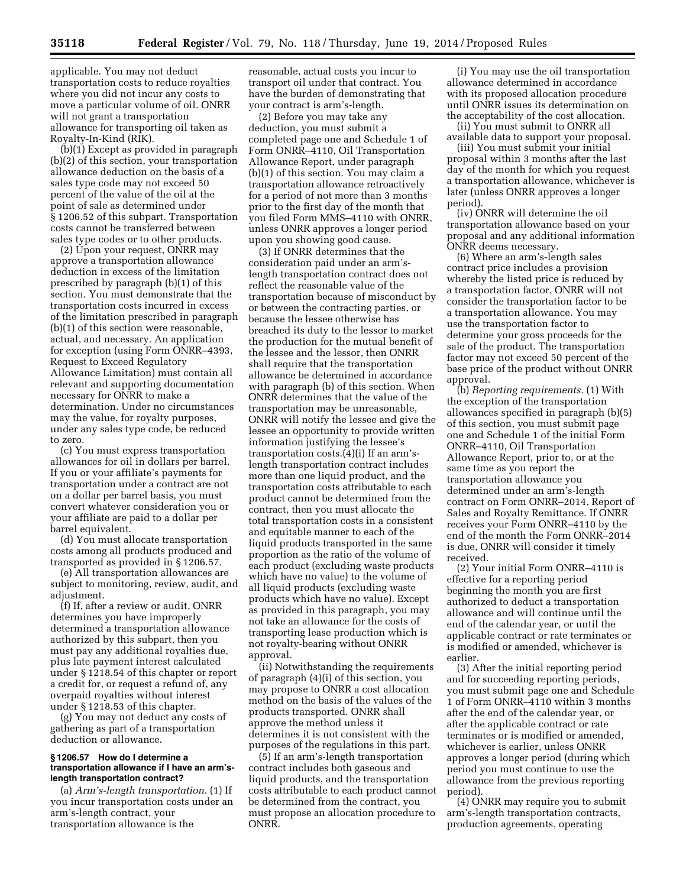applicable. You may not deduct transportation costs to reduce royalties where you did not incur any costs to move a particular volume of oil. ONRR will not grant a transportation allowance for transporting oil taken as Royalty-In-Kind (RIK).

(b)(1) Except as provided in paragraph (b)(2) of this section, your transportation allowance deduction on the basis of a sales type code may not exceed 50 percent of the value of the oil at the point of sale as determined under § 1206.52 of this subpart. Transportation costs cannot be transferred between sales type codes or to other products.

(2) Upon your request, ONRR may approve a transportation allowance deduction in excess of the limitation prescribed by paragraph (b)(1) of this section. You must demonstrate that the transportation costs incurred in excess of the limitation prescribed in paragraph (b)(1) of this section were reasonable, actual, and necessary. An application for exception (using Form ONRR–4393, Request to Exceed Regulatory Allowance Limitation) must contain all relevant and supporting documentation necessary for ONRR to make a determination. Under no circumstances may the value, for royalty purposes, under any sales type code, be reduced to zero.

(c) You must express transportation allowances for oil in dollars per barrel. If you or your affiliate's payments for transportation under a contract are not on a dollar per barrel basis, you must convert whatever consideration you or your affiliate are paid to a dollar per barrel equivalent.

(d) You must allocate transportation costs among all products produced and transported as provided in § 1206.57.

(e) All transportation allowances are subject to monitoring, review, audit, and adjustment.

(f) If, after a review or audit, ONRR determines you have improperly determined a transportation allowance authorized by this subpart, then you must pay any additional royalties due, plus late payment interest calculated under § 1218.54 of this chapter or report a credit for, or request a refund of, any overpaid royalties without interest under § 1218.53 of this chapter.

(g) You may not deduct any costs of gathering as part of a transportation deduction or allowance.

#### **§ 1206.57 How do I determine a transportation allowance if I have an arm'slength transportation contract?**

(a) *Arm's-length transportation.* (1) If you incur transportation costs under an arm's-length contract, your transportation allowance is the

reasonable, actual costs you incur to transport oil under that contract. You have the burden of demonstrating that your contract is arm's-length.

(2) Before you may take any deduction, you must submit a completed page one and Schedule 1 of Form ONRR–4110, Oil Transportation Allowance Report, under paragraph (b)(1) of this section. You may claim a transportation allowance retroactively for a period of not more than 3 months prior to the first day of the month that you filed Form MMS–4110 with ONRR, unless ONRR approves a longer period upon you showing good cause.

(3) If ONRR determines that the consideration paid under an arm'slength transportation contract does not reflect the reasonable value of the transportation because of misconduct by or between the contracting parties, or because the lessee otherwise has breached its duty to the lessor to market the production for the mutual benefit of the lessee and the lessor, then ONRR shall require that the transportation allowance be determined in accordance with paragraph (b) of this section. When ONRR determines that the value of the transportation may be unreasonable, ONRR will notify the lessee and give the lessee an opportunity to provide written information justifying the lessee's transportation costs.(4)(i) If an arm'slength transportation contract includes more than one liquid product, and the transportation costs attributable to each product cannot be determined from the contract, then you must allocate the total transportation costs in a consistent and equitable manner to each of the liquid products transported in the same proportion as the ratio of the volume of each product (excluding waste products which have no value) to the volume of all liquid products (excluding waste products which have no value). Except as provided in this paragraph, you may not take an allowance for the costs of transporting lease production which is not royalty-bearing without ONRR approval.

(ii) Notwithstanding the requirements of paragraph (4)(i) of this section, you may propose to ONRR a cost allocation method on the basis of the values of the products transported. ONRR shall approve the method unless it determines it is not consistent with the purposes of the regulations in this part.

(5) If an arm's-length transportation contract includes both gaseous and liquid products, and the transportation costs attributable to each product cannot be determined from the contract, you must propose an allocation procedure to ONRR.

(i) You may use the oil transportation allowance determined in accordance with its proposed allocation procedure until ONRR issues its determination on the acceptability of the cost allocation.

(ii) You must submit to ONRR all available data to support your proposal.

(iii) You must submit your initial proposal within 3 months after the last day of the month for which you request a transportation allowance, whichever is later (unless ONRR approves a longer period).

(iv) ONRR will determine the oil transportation allowance based on your proposal and any additional information ONRR deems necessary.

(6) Where an arm's-length sales contract price includes a provision whereby the listed price is reduced by a transportation factor, ONRR will not consider the transportation factor to be a transportation allowance. You may use the transportation factor to determine your gross proceeds for the sale of the product. The transportation factor may not exceed 50 percent of the base price of the product without ONRR approval.

(b) *Reporting requirements.* (1) With the exception of the transportation allowances specified in paragraph (b)(5) of this section, you must submit page one and Schedule 1 of the initial Form ONRR–4110, Oil Transportation Allowance Report, prior to, or at the same time as you report the transportation allowance you determined under an arm's-length contract on Form ONRR–2014, Report of Sales and Royalty Remittance. If ONRR receives your Form ONRR–4110 by the end of the month the Form ONRR–2014 is due, ONRR will consider it timely received.

(2) Your initial Form ONRR–4110 is effective for a reporting period beginning the month you are first authorized to deduct a transportation allowance and will continue until the end of the calendar year, or until the applicable contract or rate terminates or is modified or amended, whichever is earlier.

(3) After the initial reporting period and for succeeding reporting periods, you must submit page one and Schedule 1 of Form ONRR–4110 within 3 months after the end of the calendar year, or after the applicable contract or rate terminates or is modified or amended, whichever is earlier, unless ONRR approves a longer period (during which period you must continue to use the allowance from the previous reporting period).

(4) ONRR may require you to submit arm's-length transportation contracts, production agreements, operating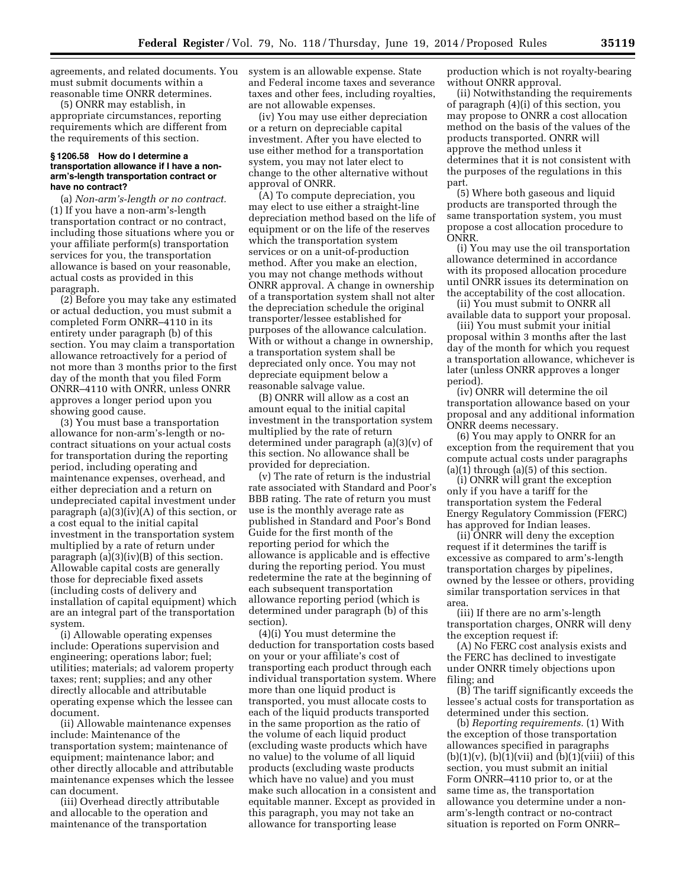agreements, and related documents. You system is an allowable expense. State must submit documents within a reasonable time ONRR determines.

(5) ONRR may establish, in appropriate circumstances, reporting requirements which are different from the requirements of this section.

#### **§ 1206.58 How do I determine a transportation allowance if I have a nonarm's-length transportation contract or have no contract?**

(a) *Non-arm's-length or no contract.*  (1) If you have a non-arm's-length transportation contract or no contract, including those situations where you or your affiliate perform(s) transportation services for you, the transportation allowance is based on your reasonable, actual costs as provided in this paragraph.

(2) Before you may take any estimated or actual deduction, you must submit a completed Form ONRR–4110 in its entirety under paragraph (b) of this section. You may claim a transportation allowance retroactively for a period of not more than 3 months prior to the first day of the month that you filed Form ONRR–4110 with ONRR, unless ONRR approves a longer period upon you showing good cause.

(3) You must base a transportation allowance for non-arm's-length or nocontract situations on your actual costs for transportation during the reporting period, including operating and maintenance expenses, overhead, and either depreciation and a return on undepreciated capital investment under paragraph (a)(3)(iv)(A) of this section, or a cost equal to the initial capital investment in the transportation system multiplied by a rate of return under paragraph (a)(3)(iv)(B) of this section. Allowable capital costs are generally those for depreciable fixed assets (including costs of delivery and installation of capital equipment) which are an integral part of the transportation system.

(i) Allowable operating expenses include: Operations supervision and engineering; operations labor; fuel; utilities; materials; ad valorem property taxes; rent; supplies; and any other directly allocable and attributable operating expense which the lessee can document.

(ii) Allowable maintenance expenses include: Maintenance of the transportation system; maintenance of equipment; maintenance labor; and other directly allocable and attributable maintenance expenses which the lessee can document.

(iii) Overhead directly attributable and allocable to the operation and maintenance of the transportation

and Federal income taxes and severance taxes and other fees, including royalties, are not allowable expenses.

(iv) You may use either depreciation or a return on depreciable capital investment. After you have elected to use either method for a transportation system, you may not later elect to change to the other alternative without approval of ONRR.

(A) To compute depreciation, you may elect to use either a straight-line depreciation method based on the life of equipment or on the life of the reserves which the transportation system services or on a unit-of-production method. After you make an election, you may not change methods without ONRR approval. A change in ownership of a transportation system shall not alter the depreciation schedule the original transporter/lessee established for purposes of the allowance calculation. With or without a change in ownership, a transportation system shall be depreciated only once. You may not depreciate equipment below a reasonable salvage value.

(B) ONRR will allow as a cost an amount equal to the initial capital investment in the transportation system multiplied by the rate of return determined under paragraph (a)(3)(v) of this section. No allowance shall be provided for depreciation.

(v) The rate of return is the industrial rate associated with Standard and Poor's BBB rating. The rate of return you must use is the monthly average rate as published in Standard and Poor's Bond Guide for the first month of the reporting period for which the allowance is applicable and is effective during the reporting period. You must redetermine the rate at the beginning of each subsequent transportation allowance reporting period (which is determined under paragraph (b) of this section).

(4)(i) You must determine the deduction for transportation costs based on your or your affiliate's cost of transporting each product through each individual transportation system. Where more than one liquid product is transported, you must allocate costs to each of the liquid products transported in the same proportion as the ratio of the volume of each liquid product (excluding waste products which have no value) to the volume of all liquid products (excluding waste products which have no value) and you must make such allocation in a consistent and equitable manner. Except as provided in this paragraph, you may not take an allowance for transporting lease

production which is not royalty-bearing without ONRR approval.

(ii) Notwithstanding the requirements of paragraph (4)(i) of this section, you may propose to ONRR a cost allocation method on the basis of the values of the products transported. ONRR will approve the method unless it determines that it is not consistent with the purposes of the regulations in this part.

(5) Where both gaseous and liquid products are transported through the same transportation system, you must propose a cost allocation procedure to ONRR.

(i) You may use the oil transportation allowance determined in accordance with its proposed allocation procedure until ONRR issues its determination on the acceptability of the cost allocation.

(ii) You must submit to ONRR all available data to support your proposal.

(iii) You must submit your initial proposal within 3 months after the last day of the month for which you request a transportation allowance, whichever is later (unless ONRR approves a longer period).

(iv) ONRR will determine the oil transportation allowance based on your proposal and any additional information ONRR deems necessary.

(6) You may apply to ONRR for an exception from the requirement that you compute actual costs under paragraphs  $(a)(1)$  through  $(a)(5)$  of this section.

(i) ONRR will grant the exception only if you have a tariff for the transportation system the Federal Energy Regulatory Commission (FERC) has approved for Indian leases.

(ii) ONRR will deny the exception request if it determines the tariff is excessive as compared to arm's-length transportation charges by pipelines, owned by the lessee or others, providing similar transportation services in that area.

(iii) If there are no arm's-length transportation charges, ONRR will deny the exception request if:

(A) No FERC cost analysis exists and the FERC has declined to investigate under ONRR timely objections upon filing; and

(B) The tariff significantly exceeds the lessee's actual costs for transportation as determined under this section.

(b) *Reporting requirements.* (1) With the exception of those transportation allowances specified in paragraphs  $(b)(1)(v)$ ,  $(b)(1)(vii)$  and  $(b)(1)(viii)$  of this section, you must submit an initial Form ONRR–4110 prior to, or at the same time as, the transportation allowance you determine under a nonarm's-length contract or no-contract situation is reported on Form ONRR–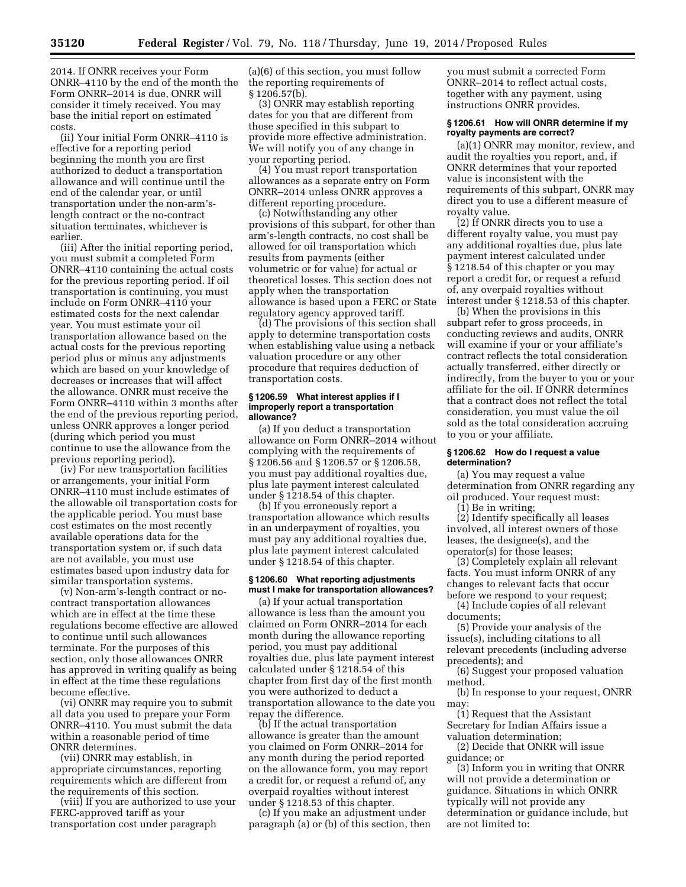2014. If ONRR receives your Form ONRR–4110 by the end of the month the Form ONRR–2014 is due, ONRR will consider it timely received. You may base the initial report on estimated costs.

(ii) Your initial Form ONRR–4110 is effective for a reporting period beginning the month you are first authorized to deduct a transportation allowance and will continue until the end of the calendar year, or until transportation under the non-arm'slength contract or the no-contract situation terminates, whichever is earlier.

(iii) After the initial reporting period, you must submit a completed Form ONRR–4110 containing the actual costs for the previous reporting period. If oil transportation is continuing, you must include on Form ONRR–4110 your estimated costs for the next calendar year. You must estimate your oil transportation allowance based on the actual costs for the previous reporting period plus or minus any adjustments which are based on your knowledge of decreases or increases that will affect the allowance. ONRR must receive the Form ONRR–4110 within 3 months after the end of the previous reporting period, unless ONRR approves a longer period (during which period you must continue to use the allowance from the previous reporting period).

(iv) For new transportation facilities or arrangements, your initial Form ONRR–4110 must include estimates of the allowable oil transportation costs for the applicable period. You must base cost estimates on the most recently available operations data for the transportation system or, if such data are not available, you must use estimates based upon industry data for similar transportation systems.

(v) Non-arm's-length contract or nocontract transportation allowances which are in effect at the time these regulations become effective are allowed to continue until such allowances terminate. For the purposes of this section, only those allowances ONRR has approved in writing qualify as being in effect at the time these regulations become effective.

(vi) ONRR may require you to submit all data you used to prepare your Form ONRR–4110. You must submit the data within a reasonable period of time ONRR determines.

(vii) ONRR may establish, in appropriate circumstances, reporting requirements which are different from the requirements of this section.

(viii) If you are authorized to use your FERC-approved tariff as your transportation cost under paragraph

(a)(6) of this section, you must follow the reporting requirements of § 1206.57(b).

(3) ONRR may establish reporting dates for you that are different from those specified in this subpart to provide more effective administration. We will notify you of any change in your reporting period.

(4) You must report transportation allowances as a separate entry on Form ONRR–2014 unless ONRR approves a different reporting procedure.

(c) Notwithstanding any other provisions of this subpart, for other than arm's-length contracts, no cost shall be allowed for oil transportation which results from payments (either volumetric or for value) for actual or theoretical losses. This section does not apply when the transportation allowance is based upon a FERC or State regulatory agency approved tariff.

(d) The provisions of this section shall apply to determine transportation costs when establishing value using a netback valuation procedure or any other procedure that requires deduction of transportation costs.

#### **§ 1206.59 What interest applies if I improperly report a transportation allowance?**

(a) If you deduct a transportation allowance on Form ONRR–2014 without complying with the requirements of § 1206.56 and § 1206.57 or § 1206.58, you must pay additional royalties due, plus late payment interest calculated under § 1218.54 of this chapter.

(b) If you erroneously report a transportation allowance which results in an underpayment of royalties, you must pay any additional royalties due, plus late payment interest calculated under § 1218.54 of this chapter.

#### **§ 1206.60 What reporting adjustments must I make for transportation allowances?**

(a) If your actual transportation allowance is less than the amount you claimed on Form ONRR–2014 for each month during the allowance reporting period, you must pay additional royalties due, plus late payment interest calculated under § 1218.54 of this chapter from first day of the first month you were authorized to deduct a transportation allowance to the date you repay the difference.

(b) If the actual transportation allowance is greater than the amount you claimed on Form ONRR–2014 for any month during the period reported on the allowance form, you may report a credit for, or request a refund of, any overpaid royalties without interest under § 1218.53 of this chapter.

(c) If you make an adjustment under paragraph (a) or (b) of this section, then

you must submit a corrected Form ONRR–2014 to reflect actual costs, together with any payment, using instructions ONRR provides.

#### **§ 1206.61 How will ONRR determine if my royalty payments are correct?**

(a)(1) ONRR may monitor, review, and audit the royalties you report, and, if ONRR determines that your reported value is inconsistent with the requirements of this subpart, ONRR may direct you to use a different measure of royalty value.

(2) If ONRR directs you to use a different royalty value, you must pay any additional royalties due, plus late payment interest calculated under § 1218.54 of this chapter or you may report a credit for, or request a refund of, any overpaid royalties without interest under § 1218.53 of this chapter.

(b) When the provisions in this subpart refer to gross proceeds, in conducting reviews and audits, ONRR will examine if your or your affiliate's contract reflects the total consideration actually transferred, either directly or indirectly, from the buyer to you or your affiliate for the oil. If ONRR determines that a contract does not reflect the total consideration, you must value the oil sold as the total consideration accruing to you or your affiliate.

#### **§ 1206.62 How do I request a value determination?**

(a) You may request a value determination from ONRR regarding any oil produced. Your request must:

(1) Be in writing;

(2) Identify specifically all leases involved, all interest owners of those leases, the designee(s), and the operator(s) for those leases;

(3) Completely explain all relevant facts. You must inform ONRR of any changes to relevant facts that occur before we respond to your request;

(4) Include copies of all relevant documents;

(5) Provide your analysis of the issue(s), including citations to all relevant precedents (including adverse precedents); and

(6) Suggest your proposed valuation method.

(b) In response to your request, ONRR may:

(1) Request that the Assistant Secretary for Indian Affairs issue a valuation determination;

(2) Decide that ONRR will issue guidance; or

(3) Inform you in writing that ONRR will not provide a determination or guidance. Situations in which ONRR typically will not provide any determination or guidance include, but are not limited to: